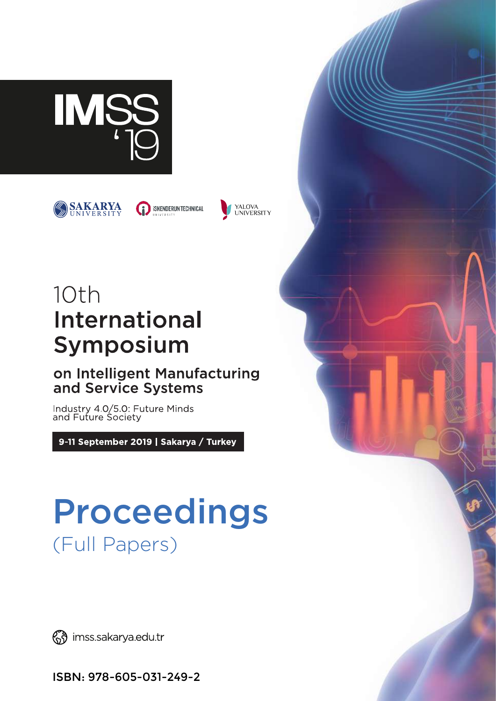



**ISKENDERUN TECHNICAL** 



## 10th **International** Symposium

## on Intelligent Manufacturing and Service Systems

Industry 4.0/5.0: Future Minds<br>and Future Society

9-11 September 2019 | Sakarya / Turkey

# Proceedings (Full Papers)

(S) imss.sakarya.edu.tr

ISBN: 978-605-031-249-2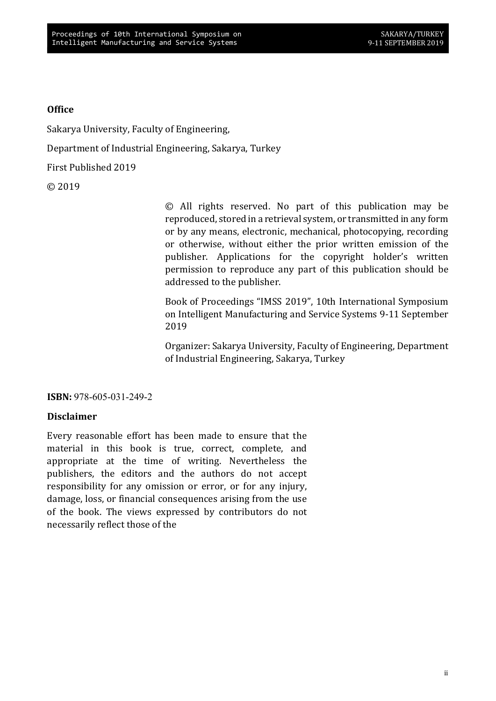#### **Office**

Sakarya University, Faculty of Engineering,

Department of Industrial Engineering, Sakarya, Turkey

First Published 2019

© 2019

© All rights reserved. No part of this publication may be reproduced, stored in a retrieval system, or transmitted in any form or by any means, electronic, mechanical, photocopying, recording or otherwise, without either the prior written emission of the publisher. Applications for the copyright holder's written permission to reproduce any part of this publication should be addressed to the publisher.

Book of Proceedings "IMSS 2019", 10th International Symposium on Intelligent Manufacturing and Service Systems 9-11 September 2019

Organizer: Sakarya University, Faculty of Engineering, Department of Industrial Engineering, Sakarya, Turkey

ISBN: 978-605-031-249-2

#### Disclaimer

material in this book is true, correct, complete, and appropriate at the time of writing. Nevertheless the publishers, the editors and the authors do not accept responsibility for any omission or error, or for any injury, damage, loss, or financial consequences arising from the use of the book. The views expressed by contributors do not necessarily reflect those of the Every reasonable effort has been made to ensure that the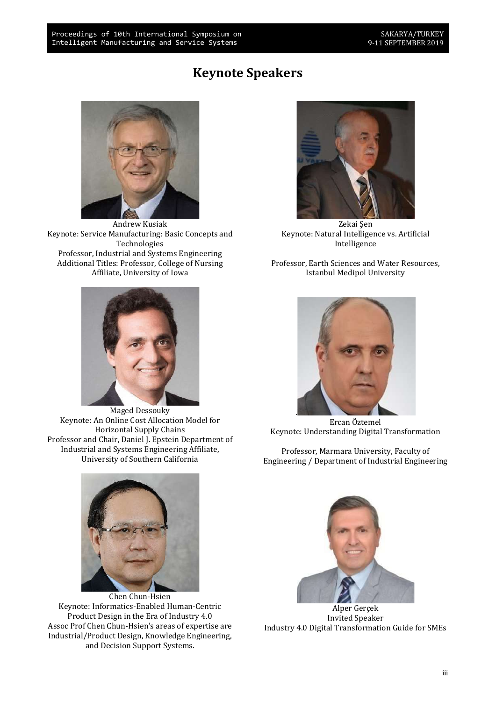### Keynote Speakers



Andrew Kusiak Keynote: Service Manufacturing: Basic Concepts and Technologies Professor, Industrial and Systems Engineering Additional Titles: Professor, College of Nursing Affiliate, University of Iowa



Maged Dessouky Keynote: An Online Cost Allocation Model for Horizontal Supply Chains Professor and Chair, Daniel J. Epstein Department of Industrial and Systems Engineering Affiliate, University of Southern California



Zekai Sen Keynote: Natural Intelligence vs. Artificial Intelligence

Professor, Earth Sciences and Water Resources, Istanbul Medipol University



Ercan Öztemel Keynote: Understanding Digital Transformation

Professor, Marmara University, Faculty of Engineering / Department of Industrial Engineering



Chen Chun-Hsien Keynote: Informatics-Enabled Human-Centric Product Design in the Era of Industry 4.0 Assoc Prof Chen Chun-Hsien's areas of expertise are Industrial/Product Design, Knowledge Engineering, and Decision Support Systems.



Alper Gerçek Invited Speaker Industry 4.0 Digital Transformation Guide for SMEs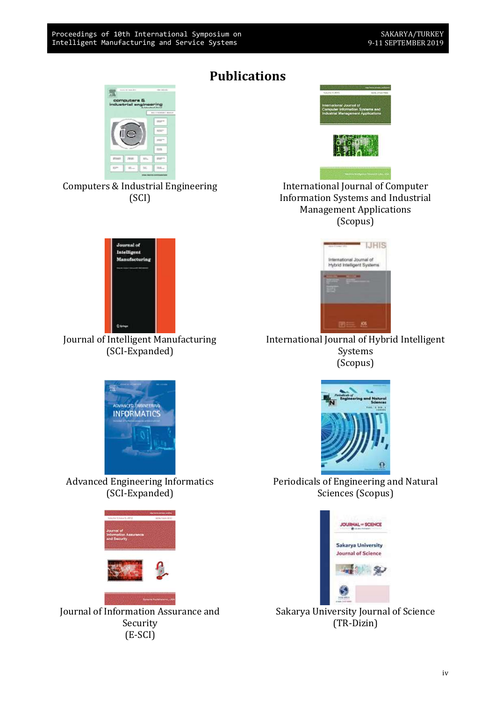## Publications







Journal of Intelligent Manufacturing (SCI-Expanded)



Advanced Engineering Informatics (SCI-Expanded)



Journal of Information Assurance and Security (E-SCI)



International Journal of Computer Information Systems and Industrial Management Applications (Scopus)



International Journal of Hybrid Intelligent Systems (Scopus)



Periodicals of Engineering and Natural Sciences (Scopus)



Sakarya University Journal of Science (TR-Dizin)

iv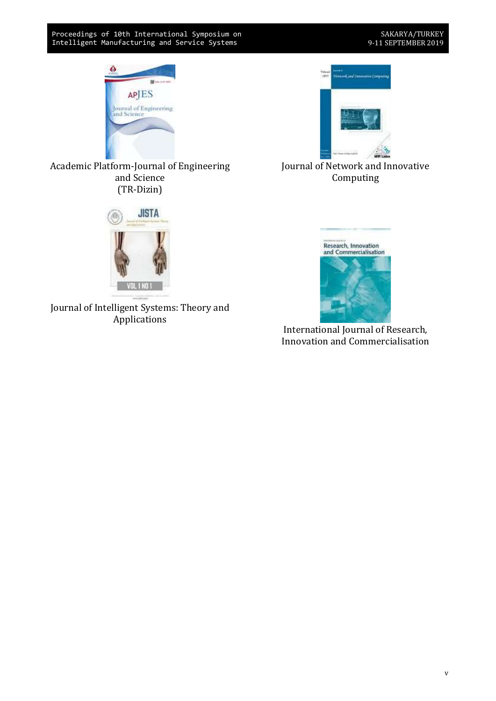



Journal of Network and Innovative Computing

#### Academic Platform-Journal of Engineering and Science (TR-Dizin)



Journal of Intelligent Systems: Theory and Applications



International Journal of Research, Innovation and Commercialisation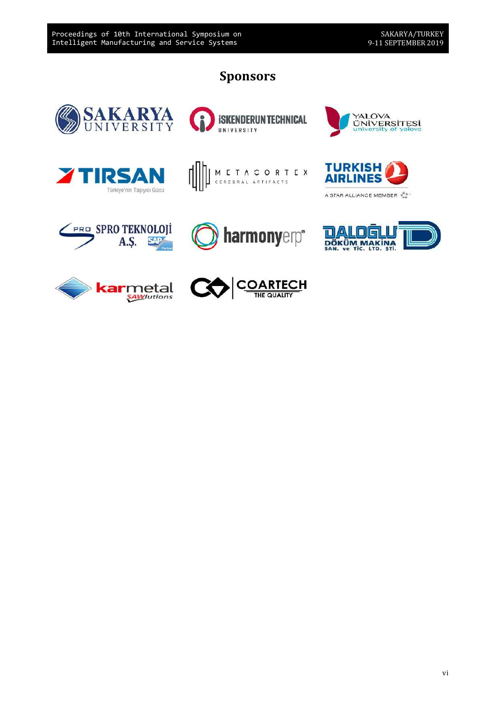## Sponsors

**SKENDERUNTECHNICAL** 







UNIVERSITY





FRO SPRO TEKNOLOJI<br>A.S.







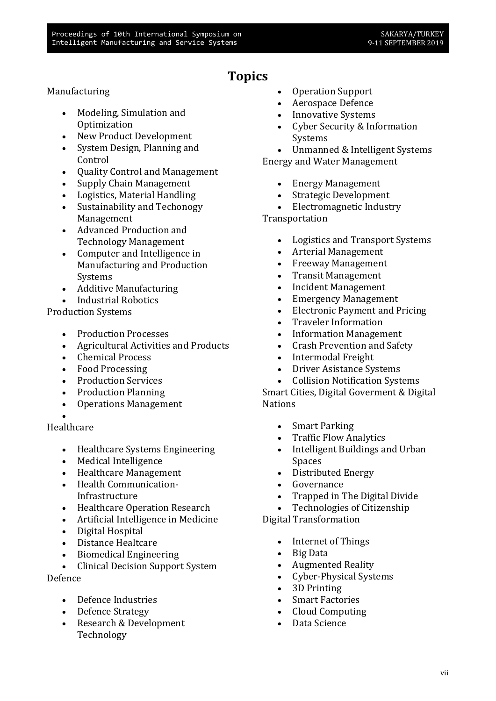## Topics

#### Manufacturing

- Modeling, Simulation and **Optimization**
- New Product Development
- System Design, Planning and Control
- Ouality Control and Management
- Supply Chain Management
- Logistics, Material Handling
- Sustainability and Techonogy Management
- Advanced Production and Technology Management
- Computer and Intelligence in Manufacturing and Production Systems
- Additive Manufacturing
- Industrial Robotics

Production Systems

- Production Processes
- Agricultural Activities and Products
- Chemical Process
- Food Processing
- Production Services
- Production Planning
- Operations Management
- $\bullet$

#### Healthcare

- Healthcare Systems Engineering
- Medical Intelligence
- Healthcare Management
- Health Communication-Infrastructure
- Healthcare Operation Research
- Artificial Intelligence in Medicine
- Digital Hospital
- Distance Healtcare
- Biomedical Engineering
- Clinical Decision Support System

Defence

- Defence Industries
- Defence Strategy
- Research & Development Technology
- Operation Support
- Aerospace Defence
- Innovative Systems
- Cyber Security & Information Systems

 Unmanned & Intelligent Systems Energy and Water Management

- Energy Management
- Strategic Development
- Electromagnetic Industry

Transportation

- Logistics and Transport Systems
- Arterial Management
- Freeway Management
- Transit Management
- Incident Management
- Emergency Management
- Electronic Payment and Pricing
- Traveler Information
- Information Management
- Crash Prevention and Safety
- Intermodal Freight
- Driver Asistance Systems
- Collision Notification Systems

Smart Cities, Digital Goverment & Digital Nations

- Smart Parking
- Traffic Flow Analytics
- Intelligent Buildings and Urban Spaces
- Distributed Energy
- Governance
- Trapped in The Digital Divide
- Technologies of Citizenship

Digital Transformation

- Internet of Things
- Big Data
- Augmented Reality
- Cyber-Physical Systems
- 3D Printing
- Smart Factories
- Cloud Computing
- Data Science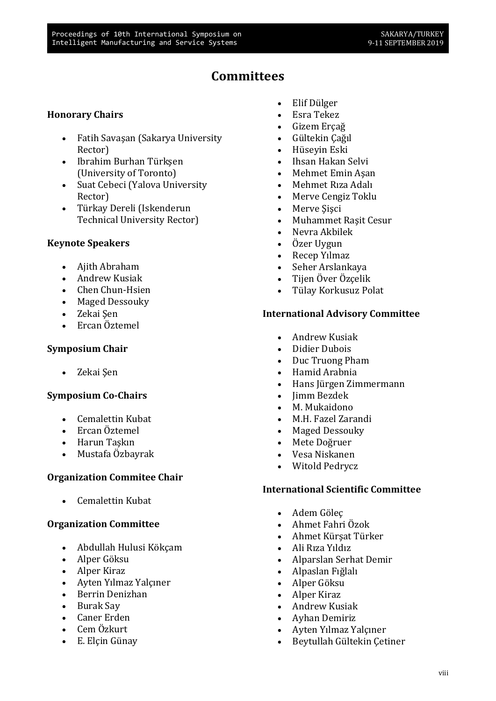## **Committees**

#### Honorary Chairs

- Fatih Savaşan (Sakarya University Rector)
- Ibrahim Burhan Türkşen (University of Toronto)
- Suat Cebeci (Yalova University Rector)
- Türkay Dereli (Iskenderun Technical University Rector)

#### Keynote Speakers

- Ajith Abraham
- Andrew Kusiak
- Chen Chun-Hsien
- Maged Dessouky
- Zekai Şen
- Ercan Öztemel

#### Symposium Chair

• Zekai Sen

#### Symposium Co-Chairs

- Cemalettin Kubat
- Ercan Öztemel
- Harun Taşkın
- Mustafa Özbayrak

#### Organization Commitee Chair

Cemalettin Kubat

#### Organization Committee

- Abdullah Hulusi Kökçam
- Alper Göksu
- Alper Kiraz
- Ayten Yılmaz Yalçıner
- Berrin Denizhan
- Burak Sav
- Caner Erden
- Cem Özkurt
- E. Elçin Günay
- Elif Dülger
- Esra Tekez
- Gizem Ercağ
- Gültekin Çağıl
- Hüseyin Eski
- Ihsan Hakan Selvi
- Mehmet Emin Aşan
- Mehmet Rıza Adalı
- Merve Cengiz Toklu
- Merve Sisci
- Muhammet Raşit Cesur
- Nevra Akbilek
- Özer Uygun
- Recep Yılmaz
- Seher Arslankaya
- Tijen Över Özçelik
- Tülay Korkusuz Polat

#### International Advisory Committee

- Andrew Kusiak
- Didier Dubois
- Duc Truong Pham
- Hamid Arabnia
- Hans Jürgen Zimmermann
- Jimm Bezdek
- M. Mukaidono
- M.H. Fazel Zarandi
- Maged Dessouky
- Mete Doğruer
- Vesa Niskanen
- Witold Pedrycz

#### International Scientific Committee

- Adem Göleç
- Ahmet Fahri Özok
- Ahmet Kürşat Türker
- Ali Rıza Yıldız
- Alparslan Serhat Demir
- Alpaslan Fığlalı
- Alper Göksu
- Alper Kiraz
- Andrew Kusiak
- Ayhan Demiriz
- Ayten Yılmaz Yalçıner
- Beytullah Gültekin Çetiner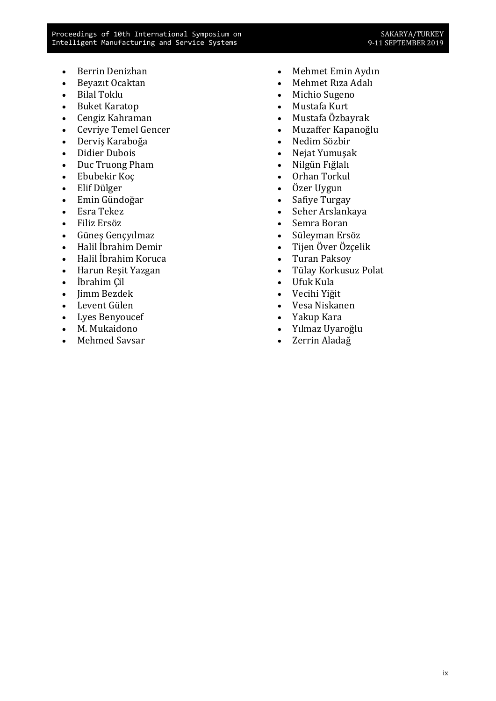- Berrin Denizhan
- Beyazıt Ocaktan
- Bilal Toklu
- Buket Karatop
- Cengiz Kahraman
- Cevriye Temel Gencer
- Derviş Karaboğa
- Didier Dubois
- Duc Truong Pham
- Ebubekir Koç
- Elif Dülger
- Emin Gündoğar
- Esra Tekez
- Filiz Ersöz
- Güneş Gençyılmaz
- Halil İbrahim Demir
- Halil İbrahim Koruca
- Harun Reşit Yazgan
- İbrahim Çil
- Jimm Bezdek
- Levent Gülen
- Lyes Benyoucef
- M. Mukaidono
- Mehmed Savsar
- Mehmet Emin Aydın
- Mehmet Rıza Adalı
- Michio Sugeno
- Mustafa Kurt
- Mustafa Özbayrak
- Muzaffer Kapanoğlu
- Nedim Sözbir
- Nejat Yumuşak
- Nilgün Fığlalı
- Orhan Torkul
- Özer Uygun
- Safiye Turgay
- Seher Arslankaya
- Semra Boran
- Süleyman Ersöz
- Tijen Över Özçelik
- Turan Paksoy
- Tülay Korkusuz Polat
- Ufuk Kula
- Vecihi Yiğit
- Vesa Niskanen
- Yakup Kara
- Yılmaz Uyaroğlu
- Zerrin Aladağ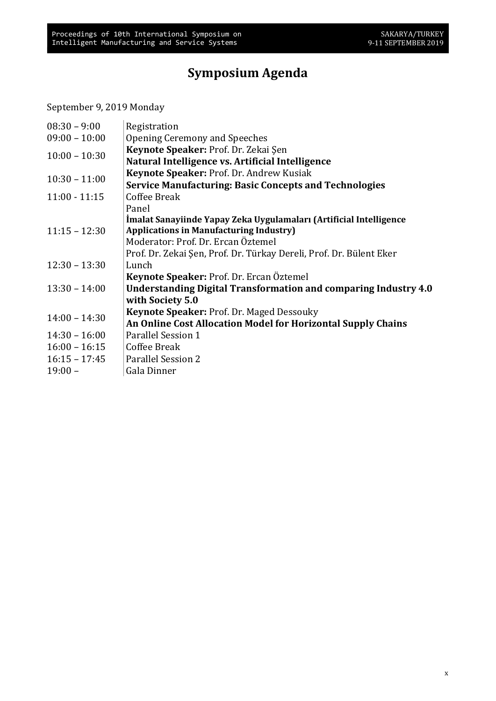## Symposium Agenda

September 9, 2019 Monday

| $08:30 - 9:00$  | Registration                                                        |
|-----------------|---------------------------------------------------------------------|
| $09:00 - 10:00$ | Opening Ceremony and Speeches                                       |
| $10:00 - 10:30$ | Keynote Speaker: Prof. Dr. Zekai Şen                                |
|                 | Natural Intelligence vs. Artificial Intelligence                    |
| $10:30 - 11:00$ | Keynote Speaker: Prof. Dr. Andrew Kusiak                            |
|                 | <b>Service Manufacturing: Basic Concepts and Technologies</b>       |
| $11:00 - 11:15$ | Coffee Break                                                        |
|                 | Panel                                                               |
|                 | İmalat Sanayiinde Yapay Zeka Uygulamaları (Artificial Intelligence  |
| $11:15 - 12:30$ | <b>Applications in Manufacturing Industry)</b>                      |
|                 | Moderator: Prof. Dr. Ercan Öztemel                                  |
|                 | Prof. Dr. Zekai Şen, Prof. Dr. Türkay Dereli, Prof. Dr. Bülent Eker |
| $12:30 - 13:30$ | Lunch                                                               |
|                 | Keynote Speaker: Prof. Dr. Ercan Öztemel                            |
| $13:30 - 14:00$ | Understanding Digital Transformation and comparing Industry 4.0     |
|                 | with Society 5.0                                                    |
| $14:00 - 14:30$ | <b>Keynote Speaker: Prof. Dr. Maged Dessouky</b>                    |
|                 | An Online Cost Allocation Model for Horizontal Supply Chains        |
| $14:30 - 16:00$ | Parallel Session 1                                                  |
| $16:00 - 16:15$ | Coffee Break                                                        |
| $16:15 - 17:45$ | <b>Parallel Session 2</b>                                           |
| $19:00 -$       | Gala Dinner                                                         |
|                 |                                                                     |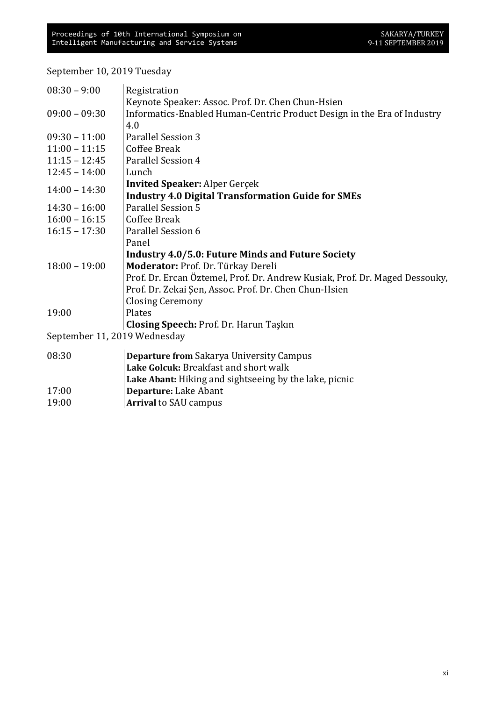September 10, 2019 Tuesday

| $08:30 - 9:00$               | Registration                                                                |
|------------------------------|-----------------------------------------------------------------------------|
|                              | Keynote Speaker: Assoc. Prof. Dr. Chen Chun-Hsien                           |
| $09:00 - 09:30$              | Informatics-Enabled Human-Centric Product Design in the Era of Industry     |
|                              | 4.0                                                                         |
| $09:30 - 11:00$              | <b>Parallel Session 3</b>                                                   |
| $11:00 - 11:15$              | Coffee Break                                                                |
| $11:15 - 12:45$              | Parallel Session 4                                                          |
| $12:45 - 14:00$              | Lunch                                                                       |
| $14:00 - 14:30$              | <b>Invited Speaker: Alper Gerçek</b>                                        |
|                              | <b>Industry 4.0 Digital Transformation Guide for SMEs</b>                   |
| $14:30 - 16:00$              | <b>Parallel Session 5</b>                                                   |
| $16:00 - 16:15$              | <b>Coffee Break</b>                                                         |
| $16:15 - 17:30$              | Parallel Session 6                                                          |
|                              | Panel                                                                       |
|                              | <b>Industry 4.0/5.0: Future Minds and Future Society</b>                    |
| $18:00 - 19:00$              | Moderator: Prof. Dr. Türkay Dereli                                          |
|                              | Prof. Dr. Ercan Öztemel, Prof. Dr. Andrew Kusiak, Prof. Dr. Maged Dessouky, |
|                              | Prof. Dr. Zekai Şen, Assoc. Prof. Dr. Chen Chun-Hsien                       |
|                              | <b>Closing Ceremony</b>                                                     |
| 19:00                        | Plates                                                                      |
|                              | Closing Speech: Prof. Dr. Harun Taşkın                                      |
| September 11, 2019 Wednesday |                                                                             |
| 08:30                        | <b>Departure from Sakarya University Campus</b>                             |
|                              | Lake Golcuk: Breakfast and short walk                                       |
|                              | Lake Abant: Hiking and sightseeing by the lake, picnic                      |
| 17:00                        | Departure: Lake Abant                                                       |
| 19:00                        | <b>Arrival to SAU campus</b>                                                |
|                              |                                                                             |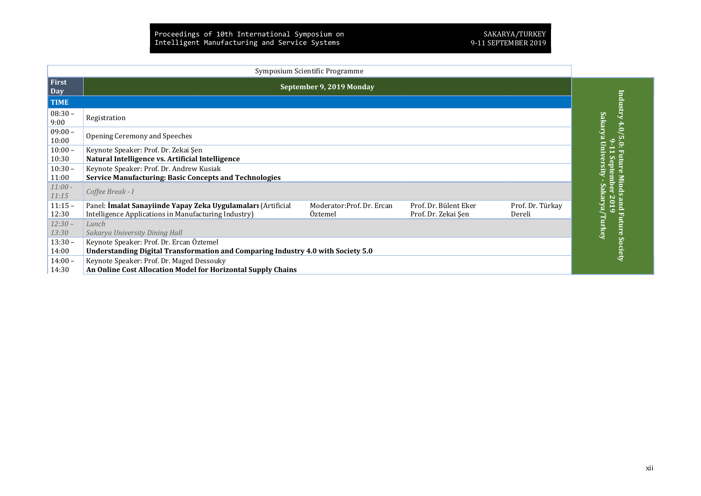| Symposium Scientific Programme |                                                                                                                                                                                                                                             |                              |  |  |  |
|--------------------------------|---------------------------------------------------------------------------------------------------------------------------------------------------------------------------------------------------------------------------------------------|------------------------------|--|--|--|
| First<br>Day                   | September 9, 2019 Monday                                                                                                                                                                                                                    |                              |  |  |  |
| <b>TIME</b>                    |                                                                                                                                                                                                                                             | Industry                     |  |  |  |
| $08:30 -$<br>9:00              | Registration                                                                                                                                                                                                                                | 4.0                          |  |  |  |
| $09:00 -$<br>10:00             | Opening Ceremony and Speeches                                                                                                                                                                                                               | Sakarya Univ<br>$5.0$ :<br>٥ |  |  |  |
| $10:00 -$<br>10:30             | Keynote Speaker: Prof. Dr. Zekai Şen<br>Natural Intelligence vs. Artificial Intelligence                                                                                                                                                    | $\sigma$                     |  |  |  |
| $10:30 -$<br>11:00             | Keynote Speaker: Prof. Dr. Andrew Kusiak<br><b>Service Manufacturing: Basic Concepts and Technologies</b>                                                                                                                                   | risit                        |  |  |  |
| $11:00 -$<br>11:15             | Coffee Break - I                                                                                                                                                                                                                            | nds<br>akarya                |  |  |  |
| $11:15 -$<br>12:30             | Panel: İmalat Sanayiinde Yapay Zeka Uygulamaları (Artificial<br>Prof. Dr. Türkay<br>Moderator: Prof. Dr. Ercan<br>Prof. Dr. Bülent Eker<br>Intelligence Applications in Manufacturing Industry)<br>Prof. Dr. Zekai Şen<br>Oztemel<br>Dereli | pue<br>⊝<br>ه<br>Fu          |  |  |  |
| $12:30 -$<br>13:30             | Lunch<br>Sakarya University Dining Hall                                                                                                                                                                                                     | Turkey<br>iture              |  |  |  |
| $13:30 -$<br>14:00             | Keynote Speaker: Prof. Dr. Ercan Öztemel<br>Understanding Digital Transformation and Comparing Industry 4.0 with Society 5.0                                                                                                                | Society                      |  |  |  |
| $14:00 -$<br>14:30             | Keynote Speaker: Prof. Dr. Maged Dessouky<br>An Online Cost Allocation Model for Horizontal Supply Chains                                                                                                                                   |                              |  |  |  |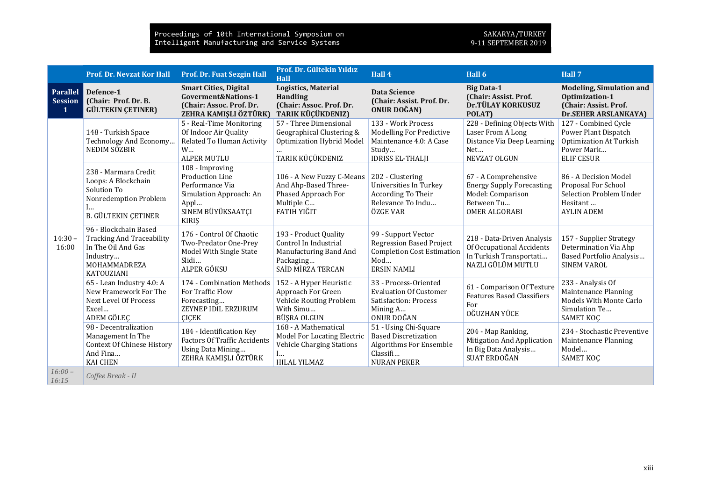|                                        | <b>Prof. Dr. Nevzat Kor Hall</b>                                                                                                 | Prof. Dr. Fuat Sezgin Hall                                                                                                           | Prof. Dr. Gültekin Yıldız<br><b>Hall</b>                                                                     | Hall 4                                                                                                                   | Hall 6                                                                                                              | Hall 7                                                                                                            |
|----------------------------------------|----------------------------------------------------------------------------------------------------------------------------------|--------------------------------------------------------------------------------------------------------------------------------------|--------------------------------------------------------------------------------------------------------------|--------------------------------------------------------------------------------------------------------------------------|---------------------------------------------------------------------------------------------------------------------|-------------------------------------------------------------------------------------------------------------------|
| <b>Parallel</b><br><b>Session</b><br>1 | Defence-1<br>(Chair: Prof. Dr. B.<br><b>GÜLTEKIN ÇETINER)</b>                                                                    | <b>Smart Cities, Digital</b><br>Goverment&Nations-1<br>(Chair: Assoc. Prof. Dr.<br>ZEHRA KAMIŞLI ÖZTÜRK)                             | <b>Logistics, Material</b><br><b>Handling</b><br>(Chair: Assoc. Prof. Dr.<br>TARIK KÜÇÜKDENIZ)               | <b>Data Science</b><br>(Chair: Assist. Prof. Dr.<br><b>ONUR DOĞAN</b> )                                                  | <b>Big Data-1</b><br>(Chair: Assist. Prof.<br>Dr.TÜLAY KORKUSUZ<br>POLAT)                                           | <b>Modeling, Simulation and</b><br>Optimization-1<br>(Chair: Assist. Prof.<br><b>Dr.SEHER ARSLANKAYA)</b>         |
| $14:30 -$<br>16:00                     | 148 - Turkish Space<br>Technology And Economy<br>NEDIM SÖZBIR                                                                    | 5 - Real-Time Monitoring<br>Of Indoor Air Quality<br>Related To Human Activity<br>W<br><b>ALPER MUTLU</b>                            | 57 - Three Dimensional<br>Geographical Clustering &<br><b>Optimization Hybrid Model</b><br>TARIK KÜÇÜKDENIZ  | 133 - Work Process<br><b>Modelling For Predictive</b><br>Maintenance 4.0: A Case<br>Study<br><b>IDRISS EL-THALJI</b>     | 228 - Defining Objects With<br>Laser From A Long<br>Distance Via Deep Learning<br>Net<br>NEVZAT OLGUN               | 127 - Combined Cycle<br>Power Plant Dispatch<br><b>Optimization At Turkish</b><br>Power Mark<br><b>ELIF CESUR</b> |
|                                        | 238 - Marmara Credit<br>Loops: A Blockchain<br>Solution To<br>Nonredemption Problem<br>l<br><b>B. GÜLTEKIN ÇETINER</b>           | 108 - Improving<br><b>Production Line</b><br>Performance Via<br>Simulation Approach: An<br>Appl<br>SINEM BÜYÜKSAATÇI<br><b>KIRIS</b> | 106 - A New Fuzzy C-Means<br>And Ahp-Based Three-<br>Phased Approach For<br>Multiple C<br>FATIH YIĞIT        | 202 - Clustering<br>Universities In Turkey<br>According To Their<br>Relevance To Indu<br>ÖZGE VAR                        | 67 - A Comprehensive<br><b>Energy Supply Forecasting</b><br>Model: Comparison<br>Between Tu<br><b>OMER ALGORABI</b> | 86 - A Decision Model<br>Proposal For School<br>Selection Problem Under<br>Hesitant<br><b>AYLIN ADEM</b>          |
|                                        | 96 - Blockchain Based<br><b>Tracking And Traceability</b><br>In The Oil And Gas<br>Industry<br><b>MOHAMMADREZA</b><br>KATOUZIANI | 176 - Control Of Chaotic<br>Two-Predator One-Prey<br>Model With Single State<br>Slidi<br>ALPER GÖKSU                                 | 193 - Product Quality<br>Control In Industrial<br>Manufacturing Band And<br>Packaging<br>SAID MIRZA TERCAN   | 99 - Support Vector<br><b>Regression Based Project</b><br><b>Completion Cost Estimation</b><br>Mod<br><b>ERSIN NAMLI</b> | 218 - Data-Driven Analysis<br>Of Occupational Accidents<br>In Turkish Transportati<br>NAZLI GÜLÜM MUTLU             | 157 - Supplier Strategy<br>Determination Via Ahp<br>Based Portfolio Analysis<br><b>SINEM VAROL</b>                |
|                                        | 65 - Lean Industry 4.0: A<br>New Framework For The<br>Next Level Of Process<br>Excel<br>ADEM GÖLEC                               | 174 - Combination Methods<br>For Traffic Flow<br>Forecasting<br>ZEYNEP IDIL ERZURUM<br><b>CICEK</b>                                  | 152 - A Hyper Heuristic<br>Approach For Green<br>Vehicle Routing Problem<br>With Simu<br>BÜŞRA OLGUN         | 33 - Process-Oriented<br><b>Evaluation Of Customer</b><br>Satisfaction: Process<br>Mining A<br>ONUR DOĞAN                | 61 - Comparison Of Texture<br><b>Features Based Classifiers</b><br>For<br>OĞUZHAN YÜCE                              | 233 - Analysis Of<br>Maintenance Planning<br>Models With Monte Carlo<br>Simulation Te<br><b>SAMET KOÇ</b>         |
|                                        | 98 - Decentralization<br>Management In The<br><b>Context Of Chinese History</b><br>And Fina<br><b>KAI CHEN</b>                   | 184 - Identification Key<br><b>Factors Of Traffic Accidents</b><br>Using Data Mining<br>ZEHRA KAMIŞLI ÖZTÜRK                         | 168 - A Mathematical<br><b>Model For Locating Electric</b><br>Vehicle Charging Stations<br>I<br>HILAL YILMAZ | 51 - Using Chi-Square<br><b>Based Discretization</b><br>Algorithms For Ensemble<br>Classifi<br><b>NURAN PEKER</b>        | 204 - Map Ranking,<br>Mitigation And Application<br>In Big Data Analysis<br>SUAT ERDOĞAN                            | 234 - Stochastic Preventive<br>Maintenance Planning<br>Model<br>SAMET KOÇ                                         |
| $16:00 -$<br>16:15                     | Coffee Break - II                                                                                                                |                                                                                                                                      |                                                                                                              |                                                                                                                          |                                                                                                                     |                                                                                                                   |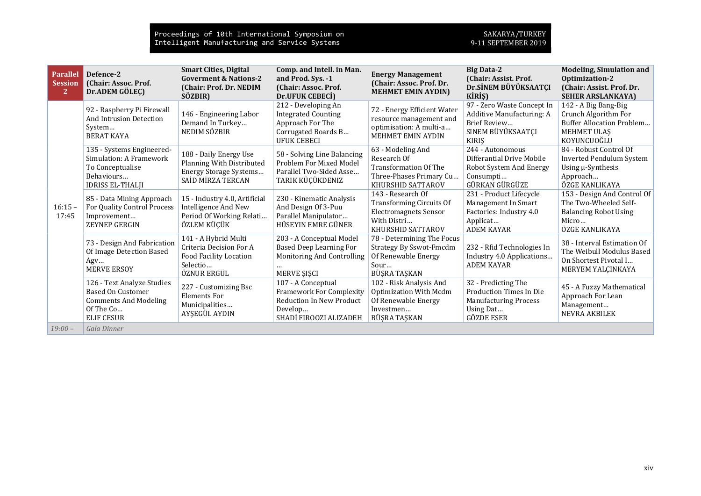| <b>Parallel</b><br><b>Session</b><br>$\overline{2}$ | Defence-2<br>(Chair: Assoc. Prof.<br>Dr.ADEM GÖLEÇ)                                                                      | <b>Smart Cities, Digital</b><br><b>Goverment &amp; Nations-2</b><br>(Chair: Prof. Dr. NEDIM<br>SÖZBIR) | Comp. and Intell. in Man.<br>and Prod. Sys. -1<br>(Chair: Assoc. Prof.<br>Dr.UFUK CEBECI)                              | <b>Energy Management</b><br>(Chair: Assoc. Prof. Dr.<br><b>MEHMET EMIN AYDIN)</b>                                        | <b>Big Data-2</b><br>(Chair: Assist. Prof.<br>Dr.SİNEM BÜYÜKSAATÇI<br>KİRİŞ)                                            | <b>Modeling, Simulation and</b><br>Optimization-2<br>(Chair: Assist. Prof. Dr.<br><b>SEHER ARSLANKAYA)</b>      |
|-----------------------------------------------------|--------------------------------------------------------------------------------------------------------------------------|--------------------------------------------------------------------------------------------------------|------------------------------------------------------------------------------------------------------------------------|--------------------------------------------------------------------------------------------------------------------------|-------------------------------------------------------------------------------------------------------------------------|-----------------------------------------------------------------------------------------------------------------|
| $16:15 -$<br>17:45                                  | 92 - Raspberry Pi Firewall<br><b>And Intrusion Detection</b><br>System<br><b>BERAT KAYA</b>                              | 146 - Engineering Labor<br>Demand In Turkey<br>NEDIM SÖZBIR                                            | 212 - Developing An<br><b>Integrated Counting</b><br>Approach For The<br>Corrugated Boards B<br><b>UFUK CEBECI</b>     | 72 - Energy Efficient Water<br>resource management and<br>optimisation: A multi-a<br>MEHMET EMIN AYDIN                   | 97 - Zero Waste Concept In<br>Additive Manufacturing: A<br>Brief Review<br>SINEM BÜYÜKSAATÇI<br><b>KIRIS</b>            | 142 - A Big Bang-Big<br>Crunch Algorithm For<br><b>Buffer Allocation Problem</b><br>MEHMET ULAS<br>KOYUNCUQĞLU  |
|                                                     | 135 - Systems Engineered-<br>Simulation: A Framework<br>To Conceptualise<br>Behaviours<br><b>IDRISS EL-THALII</b>        | 188 - Daily Energy Use<br>Planning With Distributed<br>Energy Storage Systems<br>SAID MIRZA TERCAN     | 58 - Solving Line Balancing<br>Problem For Mixed Model<br>Parallel Two-Sided Asse<br>TARIK KÜÇÜKDENIZ                  | 63 - Modeling And<br>Research Of<br><b>Transformation Of The</b><br>Three-Phases Primary Cu<br>KHURSHID SATTAROV         | 244 - Autonomous<br>Differantial Drive Mobile<br>Robot System And Energy<br>Consumpti<br>GÜRKAN GÜRGÜZE                 | 84 - Robust Control Of<br><b>Inverted Pendulum System</b><br>Using µ-Synthesis<br>Approach<br>ÖZGE KANLIKAYA    |
|                                                     | 85 - Data Mining Approach<br>For Quality Control Process<br>Improvement<br>ZEYNEP GERGIN                                 | 15 - Industry 4.0, Artificial<br>Intelligence And New<br>Period Of Working Relati<br>ÖZLEM KÜÇÜK       | 230 - Kinematic Analysis<br>And Design Of 3-Puu<br>Parallel Manipulator<br>HÜSEYIN EMRE GÜNER                          | 143 - Research Of<br><b>Transforming Circuits Of</b><br><b>Electromagnets Sensor</b><br>With Distri<br>KHURSHID SATTAROV | 231 - Product Lifecycle<br>Management In Smart<br>Factories: Industry 4.0<br>Applicat<br><b>ADEM KAYAR</b>              | 153 - Design And Control Of<br>The Two-Wheeled Self-<br><b>Balancing Robot Using</b><br>Micro<br>ÖZGE KANLIKAYA |
|                                                     | 73 - Design And Fabrication<br>Of Image Detection Based<br>Agv<br><b>MERVE ERSOY</b>                                     | 141 - A Hybrid Multi<br>Criteria Decision For A<br>Food Facility Location<br>Selectio<br>ÖZNUR ERGÜL   | 203 - A Conceptual Model<br><b>Based Deep Learning For</b><br>Monitoring And Controlling<br>MERVE ŞIŞCI                | 78 - Determining The Focus<br><b>Strategy By Sswot-Fmcdm</b><br>Of Renewable Energy<br>Sour<br>BÜŞRA TAŞKAN              | 232 - Rfid Technologies In<br>Industry 4.0 Applications<br><b>ADEM KAYAR</b>                                            | 38 - Interval Estimation Of<br>The Weibull Modulus Based<br>On Shortest Pivotal I<br>MERYEM YALÇINKAYA          |
|                                                     | 126 - Text Analyze Studies<br><b>Based On Customer</b><br><b>Comments And Modeling</b><br>Of The Co<br><b>ELIF CESUR</b> | 227 - Customizing Bsc<br><b>Elements For</b><br>Municipalities<br>AYŞEGÜL AYDIN                        | 107 - A Conceptual<br><b>Framework For Complexity</b><br>Reduction In New Product<br>Develop<br>SHADİ FIROOZI ALIZADEH | 102 - Risk Analysis And<br>Optimization With Mcdm<br>Of Renewable Energy<br>Investmen<br>BÜŞRA TAŞKAN                    | 32 - Predicting The<br><b>Production Times In Die</b><br><b>Manufacturing Process</b><br>Using Dat<br><b>GÖZDE ESER</b> | 45 - A Fuzzy Mathematical<br>Approach For Lean<br>Management<br>NEVRA AKBILEK                                   |
| $19:00-$                                            | Gala Dinner                                                                                                              |                                                                                                        |                                                                                                                        |                                                                                                                          |                                                                                                                         |                                                                                                                 |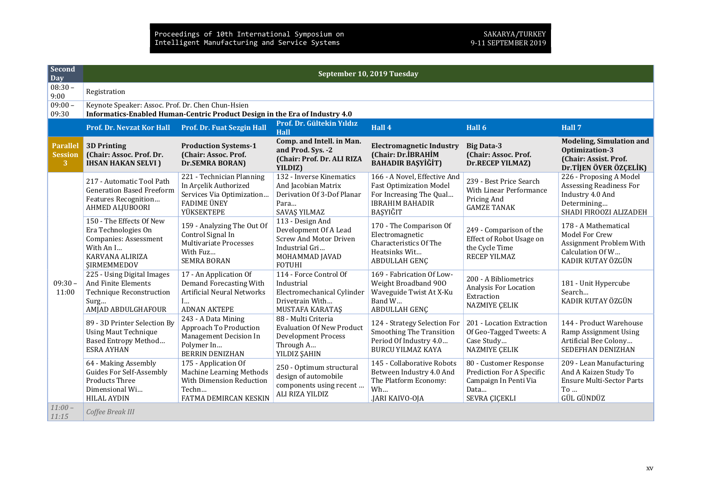| Second<br>$\overline{Day}$      | September 10, 2019 Tuesday                                                                                                       |                                                                                                                     |                                                                                                                                 |                                                                                                                                 |                                                                                                       |                                                                                                                        |  |  |
|---------------------------------|----------------------------------------------------------------------------------------------------------------------------------|---------------------------------------------------------------------------------------------------------------------|---------------------------------------------------------------------------------------------------------------------------------|---------------------------------------------------------------------------------------------------------------------------------|-------------------------------------------------------------------------------------------------------|------------------------------------------------------------------------------------------------------------------------|--|--|
| $08:30 -$<br>9:00               | Registration                                                                                                                     |                                                                                                                     |                                                                                                                                 |                                                                                                                                 |                                                                                                       |                                                                                                                        |  |  |
| $09:00 -$<br>09:30              | Keynote Speaker: Assoc. Prof. Dr. Chen Chun-Hsien<br>Informatics-Enabled Human-Centric Product Design in the Era of Industry 4.0 |                                                                                                                     |                                                                                                                                 |                                                                                                                                 |                                                                                                       |                                                                                                                        |  |  |
|                                 | <b>Prof. Dr. Nevzat Kor Hall</b>                                                                                                 | Prof. Dr. Fuat Sezgin Hall                                                                                          | Prof. Dr. Gültekin Yıldız<br><b>Hall</b>                                                                                        | Hall 4                                                                                                                          | Hall 6                                                                                                | Hall 7                                                                                                                 |  |  |
| Parallel<br><b>Session</b><br>3 | <b>3D Printing</b><br>(Chair: Assoc. Prof. Dr.<br><b>IHSAN HAKAN SELVI</b> )                                                     | <b>Production Systems-1</b><br>(Chair: Assoc. Prof.<br>Dr.SEMRA BORAN)                                              | Comp. and Intell. in Man.<br>and Prod. Sys. -2<br>(Chair: Prof. Dr. ALI RIZA<br>YILDIZ)                                         | <b>Electromagnetic Industry</b><br>(Chair: Dr.İBRAHİM<br><b>BAHADIR BAŞYİĞİT)</b>                                               | <b>Big Data-3</b><br>(Chair: Assoc. Prof.<br>Dr.RECEP YILMAZ)                                         | <b>Modeling, Simulation and</b><br>Optimization-3<br>(Chair: Assist. Prof.<br>Dr. TİJEN ÖVER ÖZÇELİK)                  |  |  |
| $09:30 -$<br>11:00              | 217 - Automatic Tool Path<br><b>Generation Based Freeform</b><br>Features Recognition<br>AHMED ALJUBOORI                         | 221 - Technician Planning<br>In Arçelik Authorized<br>Services Via Optimization<br><b>FADIME ÜNEY</b><br>YÜKSEKTEPE | 132 - Inverse Kinematics<br>And Jacobian Matrix<br>Derivation Of 3-Dof Planar<br>Para<br>SAVAŞ YILMAZ                           | 166 - A Novel, Effective And<br><b>Fast Optimization Model</b><br>For Increasing The Qual<br><b>IBRAHIM BAHADIR</b><br>BASYIĞIT | 239 - Best Price Search<br><b>With Linear Performance</b><br>Pricing And<br><b>GAMZE TANAK</b>        | 226 - Proposing A Model<br><b>Assessing Readiness For</b><br>Industry 4.0 And<br>Determining<br>SHADI FIROOZI ALIZADEH |  |  |
|                                 | 150 - The Effects Of New<br>Era Technologies On<br>Companies: Assessment<br>With An I<br>KARVANA ALIRIZA<br><b>ŞIRMEMMEDOV</b>   | 159 - Analyzing The Out Of<br>Control Signal In<br>Multivariate Processes<br>With Fuz<br><b>SEMRA BORAN</b>         | 113 - Design And<br>Development Of A Lead<br><b>Screw And Motor Driven</b><br>Industrial Gri<br>MOHAMMAD JAVAD<br><b>FOTUHI</b> | 170 - The Comparison Of<br>Electromagnetic<br>Characteristics Of The<br>Heatsinks Wit<br>ABDULLAH GENÇ                          | 249 - Comparison of the<br>Effect of Robot Usage on<br>the Cycle Time<br><b>RECEP YILMAZ</b>          | 178 - A Mathematical<br>Model For Crew<br>Assignment Problem With<br>Calculation Of W<br>KADIR KUTAY ÖZGÜN             |  |  |
|                                 | 225 - Using Digital Images<br>And Finite Elements<br><b>Technique Reconstruction</b><br>Surg<br>AMJAD ABDULGHAFOUR               | 17 - An Application Of<br>Demand Forecasting With<br><b>Artificial Neural Networks</b><br>I<br><b>ADNAN AKTEPE</b>  | 114 - Force Control Of<br>Industrial<br>Electromechanical Cylinder<br>Drivetrain With<br>MUSTAFA KARATAŞ                        | 169 - Fabrication Of Low-<br>Weight Broadband 900<br>Waveguide Twist At X-Ku<br>Band W<br>ABDULLAH GENÇ                         | 200 - A Bibliometrics<br>Analysis For Location<br>Extraction<br>NAZMIYE ÇELIK                         | 181 - Unit Hypercube<br>Search<br>KADIR KUTAY ÖZGÜN                                                                    |  |  |
|                                 | 89 - 3D Printer Selection By<br><b>Using Maut Technique</b><br>Based Entropy Method<br><b>ESRA AYHAN</b>                         | 243 - A Data Mining<br>Approach To Production<br>Management Decision In<br>Polymer In<br><b>BERRIN DENIZHAN</b>     | 88 - Multi Criteria<br><b>Evaluation Of New Product</b><br><b>Development Process</b><br>Through A<br>YILDIZ ŞAHIN              | 124 - Strategy Selection For<br><b>Smoothing The Transition</b><br>Period Of Industry 4.0<br>BURCU YILMAZ KAYA                  | 201 - Location Extraction<br>Of Geo-Tagged Tweets: A<br>Case Study<br>NAZMIYE ÇELIK                   | 144 - Product Warehouse<br>Ramp Assignment Using<br>Artificial Bee Colony<br>SEDEFHAN DENIZHAN                         |  |  |
|                                 | 64 - Making Assembly<br><b>Guides For Self-Assembly</b><br><b>Products Three</b><br>Dimensional Wi<br><b>HILAL AYDIN</b>         | 175 - Application Of<br>Machine Learning Methods<br>With Dimension Reduction<br>Techn<br>FATMA DEMIRCAN KESKIN      | 250 - Optimum structural<br>design of automobile<br>components using recent<br>ALI RIZA YILDIZ                                  | 145 - Collaborative Robots<br>Between Industry 4.0 And<br>The Platform Economy:<br>Wh<br>.JARI KAIVO-OJA                        | 80 - Customer Response<br>Prediction For A Specific<br>Campaign In Penti Via<br>Data<br>SEVRA ÇIÇEKLI | 209 - Lean Manufacturing<br>And A Kaizen Study To<br><b>Ensure Multi-Sector Parts</b><br>To $\ldots$<br>GÜL GÜNDÜZ     |  |  |
| $11:00-$<br>11:15               | Coffee Break III                                                                                                                 |                                                                                                                     |                                                                                                                                 |                                                                                                                                 |                                                                                                       |                                                                                                                        |  |  |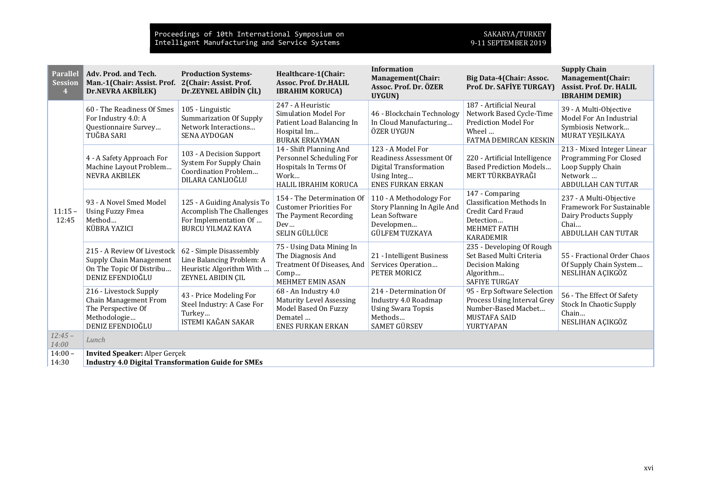| <b>Parallel</b><br><b>Session</b><br>$\overline{4}$ | Adv. Prod. and Tech.<br>Man.-1(Chair: Assist. Prof.<br>Dr.NEVRA AKBİLEK)                                  | <b>Production Systems-</b><br>2(Chair: Assist. Prof.<br>Dr.ZEYNEL ABİDİN ÇİL)                                        | Healthcare-1(Chair:<br><b>Assoc. Prof. Dr.HALIL</b><br><b>IBRAHIM KORUCA)</b>                                         | <b>Information</b><br>Management(Chair:<br>Assoc. Prof. Dr. ÖZER<br>UYGUN)                                        | Big Data-4(Chair: Assoc.<br>Prof. Dr. SAFİYE TURGAY)                                                                             | <b>Supply Chain</b><br>Management(Chair:<br>Assist. Prof. Dr. HALIL<br><b>IBRAHIM DEMIR)</b>                             |
|-----------------------------------------------------|-----------------------------------------------------------------------------------------------------------|----------------------------------------------------------------------------------------------------------------------|-----------------------------------------------------------------------------------------------------------------------|-------------------------------------------------------------------------------------------------------------------|----------------------------------------------------------------------------------------------------------------------------------|--------------------------------------------------------------------------------------------------------------------------|
| $11:15 -$<br>12:45                                  | 60 - The Readiness Of Smes<br>For Industry 4.0: A<br>Questionnaire Survey<br>TUĞBA SARI                   | 105 - Linguistic<br><b>Summarization Of Supply</b><br>Network Interactions<br><b>SENA AYDOGAN</b>                    | 247 - A Heuristic<br><b>Simulation Model For</b><br>Patient Load Balancing In<br>Hospital Im<br><b>BURAK ERKAYMAN</b> | 46 - Blockchain Technology<br>In Cloud Manufacturing<br>ÖZER UYGUN                                                | 187 - Artificial Neural<br>Network Based Cycle-Time<br>Prediction Model For<br>Wheel<br>FATMA DEMIRCAN KESKIN                    | 39 - A Multi-Objective<br>Model For An Industrial<br>Symbiosis Network<br>MURAT YEŞILKAYA                                |
|                                                     | 4 - A Safety Approach For<br>Machine Layout Problem<br><b>NEVRA AKBILEK</b>                               | 103 - A Decision Support<br>System For Supply Chain<br>Coordination Problem<br>DILARA CANLIOĞLU                      | 14 - Shift Planning And<br>Personnel Scheduling For<br>Hospitals In Terms Of<br>Work<br>HALIL IBRAHIM KORUCA          | 123 - A Model For<br>Readiness Assessment Of<br>Digital Transformation<br>Using Integ<br><b>ENES FURKAN ERKAN</b> | 220 - Artificial Intelligence<br><b>Based Prediction Models</b><br>MERT TÜRKBAYRAĞI                                              | 213 - Mixed Integer Linear<br><b>Programming For Closed</b><br>Loop Supply Chain<br>Network<br><b>ABDULLAH CAN TUTAR</b> |
|                                                     | 93 - A Novel Smed Model<br><b>Using Fuzzy Fmea</b><br>Method<br>KÜBRA YAZICI                              | 125 - A Guiding Analysis To<br><b>Accomplish The Challenges</b><br>For Implementation Of<br><b>BURCU YILMAZ KAYA</b> | 154 - The Determination Of<br><b>Customer Priorities For</b><br>The Payment Recording<br>Dev<br>SELIN GÜLLÜCE         | 110 - A Methodology For<br>Story Planning In Agile And<br>Lean Software<br>Developmen<br><b>GÜLFEM TUZKAYA</b>    | 147 - Comparing<br><b>Classification Methods In</b><br>Credit Card Fraud<br>Detection<br><b>MEHMET FATIH</b><br><b>KARADEMIR</b> | 237 - A Multi-Objective<br>Framework For Sustainable<br>Dairy Products Supply<br>Chai<br><b>ABDULLAH CAN TUTAR</b>       |
|                                                     | 215 - A Review Of Livestock<br>Supply Chain Management<br>On The Topic Of Distribu<br>DENIZ EFENDIOĞLU    | 62 - Simple Disassembly<br>Line Balancing Problem: A<br>Heuristic Algorithm With<br>ZEYNEL ABIDIN ÇIL                | 75 - Using Data Mining In<br>The Diagnosis And<br>Treatment Of Diseases, And<br>Comp<br><b>MEHMET EMIN ASAN</b>       | 21 - Intelligent Business<br>Services Operation<br>PETER MORICZ                                                   | 235 - Developing Of Rough<br>Set Based Multi Criteria<br><b>Decision Making</b><br>Algorithm<br><b>SAFIYE TURGAY</b>             | 55 - Fractional Order Chaos<br>Of Supply Chain System<br>NESLIHAN AÇIKGÖZ                                                |
|                                                     | 216 - Livestock Supply<br>Chain Management From<br>The Perspective Of<br>Methodologie<br>DENIZ EFENDIOĞLU | 43 - Price Modeling For<br>Steel Industry: A Case For<br>Turkey<br>ISTEMI KAĞAN SAKAR                                | 68 - An Industry 4.0<br>Maturity Level Assessing<br>Model Based On Fuzzy<br>Dematel<br><b>ENES FURKAN ERKAN</b>       | 214 - Determination Of<br>Industry 4.0 Roadmap<br><b>Using Swara Topsis</b><br>Methods<br><b>SAMET GÜRSEV</b>     | 95 - Erp Software Selection<br>Process Using Interval Grey<br>Number-Based Macbet<br>MUSTAFA SAID<br>YURTYAPAN                   | 56 - The Effect Of Safety<br><b>Stock In Chaotic Supply</b><br>Chain<br>NESLIHAN AÇIKGÖZ                                 |
| $12:45 -$<br>14:00                                  | Lunch                                                                                                     |                                                                                                                      |                                                                                                                       |                                                                                                                   |                                                                                                                                  |                                                                                                                          |
| $14:00 -$<br>14:30                                  | <b>Invited Speaker: Alper Gerçek</b><br><b>Industry 4.0 Digital Transformation Guide for SMEs</b>         |                                                                                                                      |                                                                                                                       |                                                                                                                   |                                                                                                                                  |                                                                                                                          |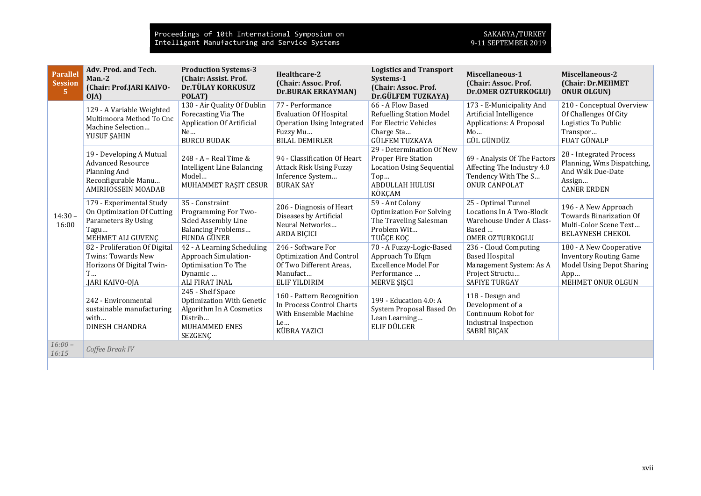| <b>Parallel</b><br><b>Session</b><br>5 <sup>1</sup> | Adv. Prod. and Tech.<br>Man.-2<br>(Chair: Prof.JARI KAIVO-<br>OJA)                                                       | <b>Production Systems-3</b><br>(Chair: Assist. Prof.<br>Dr.TÜLAY KORKUSUZ<br>POLAT)                                | Healthcare-2<br>(Chair: Assoc. Prof.<br><b>Dr.BURAK ERKAYMAN)</b>                                                    | <b>Logistics and Transport</b><br>Systems-1<br>(Chair: Assoc. Prof.<br>Dr.GÜLFEM TUZKAYA)                                       | Miscellaneous-1<br>(Chair: Assoc. Prof.<br><b>Dr.OMER OZTURKOGLU)</b>                                                | <b>Miscellaneous-2</b><br>(Chair: Dr.MEHMET<br><b>ONUR OLGUN)</b>                                                 |
|-----------------------------------------------------|--------------------------------------------------------------------------------------------------------------------------|--------------------------------------------------------------------------------------------------------------------|----------------------------------------------------------------------------------------------------------------------|---------------------------------------------------------------------------------------------------------------------------------|----------------------------------------------------------------------------------------------------------------------|-------------------------------------------------------------------------------------------------------------------|
| $14:30 -$<br>16:00                                  | 129 - A Variable Weighted<br>Multimoora Method To Cnc<br>Machine Selection<br>YUSUF ŞAHIN                                | 130 - Air Quality Of Dublin<br>Forecasting Via The<br><b>Application Of Artificial</b><br>Ne<br><b>BURCU BUDAK</b> | 77 - Performance<br><b>Evaluation Of Hospital</b><br>Operation Using Integrated<br>Fuzzy Mu<br><b>BILAL DEMIRLER</b> | 66 - A Flow Based<br><b>Refuelling Station Model</b><br>For Electric Vehicles<br>Charge Sta<br><b>GÜLFEM TUZKAYA</b>            | 173 - E-Municipality And<br>Artificial Intelligence<br>Applications: A Proposal<br>Mo<br>GÜL GÜNDÜZ                  | 210 - Conceptual Overview<br>Of Challenges Of City<br>Logistics To Public<br>Transpor<br>FUAT GÜNALP              |
|                                                     | 19 - Developing A Mutual<br><b>Advanced Resource</b><br>Planning And<br>Reconfigurable Manu<br><b>AMIRHOSSEIN MOADAB</b> | 248 - A - Real Time &<br>Intelligent Line Balancing<br>Model<br>MUHAMMET RAŞIT CESUR                               | 94 - Classification Of Heart<br><b>Attack Risk Using Fuzzy</b><br>Inference System<br><b>BURAK SAY</b>               | 29 - Determination Of New<br>Proper Fire Station<br><b>Location Using Sequential</b><br>Top<br><b>ABDULLAH HULUSI</b><br>KÖKCAM | 69 - Analysis Of The Factors<br>Affecting The Industry 4.0<br>Tendency With The S<br><b>ONUR CANPOLAT</b>            | 28 - Integrated Process<br>Planning, Wms Dispatching,<br>And Wslk Due-Date<br>Assign<br><b>CANER ERDEN</b>        |
|                                                     | 179 - Experimental Study<br>On Optimization Of Cutting<br>Parameters By Using<br>Tagu<br>MEHMET ALI GUVENÇ               | 35 - Constraint<br>Programming For Two-<br>Sided Assembly Line<br><b>Balancing Problems</b><br>FUNDA GÜNER         | 206 - Diagnosis of Heart<br>Diseases by Artificial<br>Neural Networks<br><b>ARDA BIÇICI</b>                          | 59 - Ant Colony<br><b>Optimization For Solving</b><br>The Traveling Salesman<br>Problem Wit<br>TUĞÇE KOÇ                        | 25 - Optimal Tunnel<br>Locations In A Two-Block<br>Warehouse Under A Class-<br>Based<br>OMER OZTURKOGLU              | 196 - A New Approach<br><b>Towards Binarization Of</b><br>Multi-Color Scene Text<br><b>BELAYNESH CHEKOL</b>       |
|                                                     | 82 - Proliferation Of Digital<br><b>Twins: Towards New</b><br>Horizons Of Digital Twin-<br>T<br>JARI KAIVO-OJA           | 42 - A Learning Scheduling<br>Approach Simulation-<br>Optimisation To The<br>Dynamic<br>ALI FIRAT INAL             | 246 - Software For<br><b>Optimization And Control</b><br>Of Two Different Areas,<br>Manufact<br><b>ELIF YILDIRIM</b> | 70 - A Fuzzy-Logic-Based<br>Approach To Efqm<br><b>Excellence Model For</b><br>Performance<br>MERVE ŞIŞCI                       | 236 - Cloud Computing<br><b>Based Hospital</b><br>Management System: As A<br>Project Structu<br><b>SAFIYE TURGAY</b> | 180 - A New Cooperative<br><b>Inventory Routing Game</b><br>Model Using Depot Sharing<br>App<br>MEHMET ONUR OLGUN |
|                                                     | 242 - Environmental<br>sustainable manufacturing<br>with<br><b>DINESH CHANDRA</b>                                        | 245 - Shelf Space<br>Optimization With Genetic<br>Algorithm In A Cosmetics<br>Distrib<br>MUHAMMED ENES<br>SEZGENÇ  | 160 - Pattern Recognition<br>In Process Control Charts<br>With Ensemble Machine<br>Le<br>KÜBRA YAZICI                | 199 - Education 4.0: A<br>System Proposal Based On<br>Lean Learning<br>ELIF DÜLGER                                              | 118 - Design and<br>Development of a<br>Continuum Robot for<br>Industrial Inspection<br>SABRİ BIÇAK                  |                                                                                                                   |
| $16:00 -$<br>16:15                                  | Coffee Break IV                                                                                                          |                                                                                                                    |                                                                                                                      |                                                                                                                                 |                                                                                                                      |                                                                                                                   |
|                                                     |                                                                                                                          |                                                                                                                    |                                                                                                                      |                                                                                                                                 |                                                                                                                      |                                                                                                                   |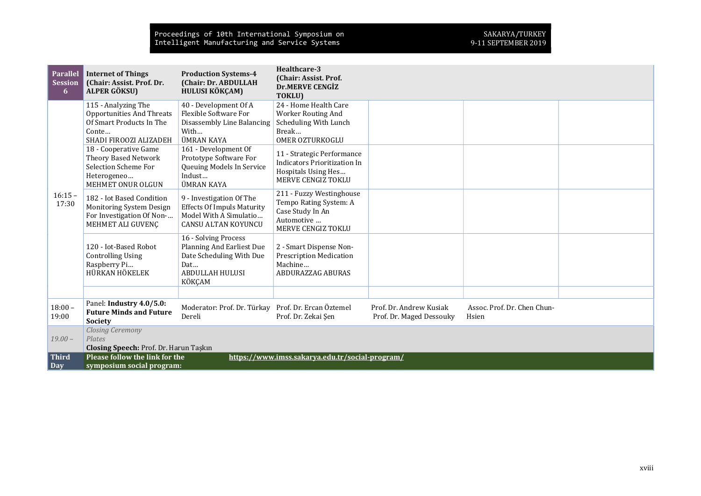| <b>Parallel</b><br><b>Session</b><br>6 | <b>Internet of Things</b><br>(Chair: Assist. Prof. Dr.<br><b>ALPER GÖKSU)</b>                                          | <b>Production Systems-4</b><br>(Chair: Dr. ABDULLAH<br>HULUSI KÖKÇAM)                                                    | Healthcare-3<br>(Chair: Assist. Prof.<br><b>Dr.MERVE CENGIZ</b><br>TOKLU)                                  |                                                     |                                      |  |
|----------------------------------------|------------------------------------------------------------------------------------------------------------------------|--------------------------------------------------------------------------------------------------------------------------|------------------------------------------------------------------------------------------------------------|-----------------------------------------------------|--------------------------------------|--|
| $16:15 -$<br>17:30                     | 115 - Analyzing The<br><b>Opportunities And Threats</b><br>Of Smart Products In The<br>Conte<br>SHADI FIROOZI ALIZADEH | 40 - Development Of A<br>Flexible Software For<br>Disassembly Line Balancing<br>With<br>ÜMRAN KAYA                       | 24 - Home Health Care<br><b>Worker Routing And</b><br>Scheduling With Lunch<br>Break<br>OMER OZTURKOGLU    |                                                     |                                      |  |
|                                        | 18 - Cooperative Game<br>Theory Based Network<br>Selection Scheme For<br>Heterogeneo<br>MEHMET ONUR OLGUN              | 161 - Development Of<br>Prototype Software For<br>Queuing Models In Service<br>Indust<br>ÜMRAN KAYA                      | 11 - Strategic Performance<br>Indicators Prioritization In<br>Hospitals Using Hes<br>MERVE CENGIZ TOKLU    |                                                     |                                      |  |
|                                        | 182 - Iot Based Condition<br>Monitoring System Design<br>For Investigation Of Non-<br>MEHMET ALI GUVENÇ                | 9 - Investigation Of The<br><b>Effects Of Impuls Maturity</b><br>Model With A Simulatio<br><b>CANSU ALTAN KOYUNCU</b>    | 211 - Fuzzy Westinghouse<br>Tempo Rating System: A<br>Case Study In An<br>Automotive<br>MERVE CENGIZ TOKLU |                                                     |                                      |  |
|                                        | 120 - Iot-Based Robot<br><b>Controlling Using</b><br>Raspberry Pi<br>HÜRKAN HÖKELEK                                    | 16 - Solving Process<br>Planning And Earliest Due<br>Date Scheduling With Due<br>Dat<br><b>ABDULLAH HULUSI</b><br>KÖKÇAM | 2 - Smart Dispense Non-<br><b>Prescription Medication</b><br>Machine<br>ABDURAZZAG ABURAS                  |                                                     |                                      |  |
|                                        | Panel: Industry 4.0/5.0:                                                                                               |                                                                                                                          |                                                                                                            |                                                     |                                      |  |
| $18:00 -$<br>19:00                     | <b>Future Minds and Future</b><br><b>Society</b>                                                                       | Moderator: Prof. Dr. Türkay Prof. Dr. Ercan Öztemel<br>Dereli                                                            | Prof. Dr. Zekai Şen                                                                                        | Prof. Dr. Andrew Kusiak<br>Prof. Dr. Maged Dessouky | Assoc. Prof. Dr. Chen Chun-<br>Hsien |  |
| $19,00-$                               | <b>Closing Ceremony</b><br>Plates                                                                                      |                                                                                                                          |                                                                                                            |                                                     |                                      |  |
| <b>Third</b>                           | Closing Speech: Prof. Dr. Harun Taşkın<br>Please follow the link for the                                               |                                                                                                                          | https://www.imss.sakarya.edu.tr/social-program/                                                            |                                                     |                                      |  |
| Day                                    | symposium social program:                                                                                              |                                                                                                                          |                                                                                                            |                                                     |                                      |  |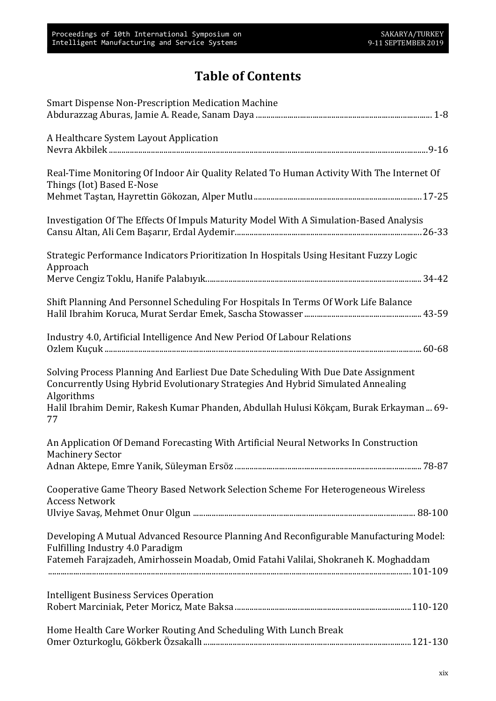## Table of Contents

| <b>Smart Dispense Non-Prescription Medication Machine</b>                                                                                                                            |
|--------------------------------------------------------------------------------------------------------------------------------------------------------------------------------------|
| A Healthcare System Layout Application                                                                                                                                               |
| Real-Time Monitoring Of Indoor Air Quality Related To Human Activity With The Internet Of<br>Things (Iot) Based E-Nose                                                               |
|                                                                                                                                                                                      |
| Investigation Of The Effects Of Impuls Maturity Model With A Simulation-Based Analysis                                                                                               |
| Strategic Performance Indicators Prioritization In Hospitals Using Hesitant Fuzzy Logic<br>Approach                                                                                  |
|                                                                                                                                                                                      |
| Shift Planning And Personnel Scheduling For Hospitals In Terms Of Work Life Balance                                                                                                  |
| Industry 4.0, Artificial Intelligence And New Period Of Labour Relations                                                                                                             |
| Solving Process Planning And Earliest Due Date Scheduling With Due Date Assignment<br>Concurrently Using Hybrid Evolutionary Strategies And Hybrid Simulated Annealing<br>Algorithms |
| Halil Ibrahim Demir, Rakesh Kumar Phanden, Abdullah Hulusi Kökçam, Burak Erkayman  69-<br>77                                                                                         |
| An Application Of Demand Forecasting With Artificial Neural Networks In Construction<br><b>Machinery Sector</b>                                                                      |
|                                                                                                                                                                                      |
| Cooperative Game Theory Based Network Selection Scheme For Heterogeneous Wireless<br><b>Access Network</b>                                                                           |
|                                                                                                                                                                                      |
| Developing A Mutual Advanced Resource Planning And Reconfigurable Manufacturing Model:<br>Fulfilling Industry 4.0 Paradigm                                                           |
| Fatemeh Farajzadeh, Amirhossein Moadab, Omid Fatahi Valilai, Shokraneh K. Moghaddam                                                                                                  |
| <b>Intelligent Business Services Operation</b>                                                                                                                                       |
| Home Health Care Worker Routing And Scheduling With Lunch Break                                                                                                                      |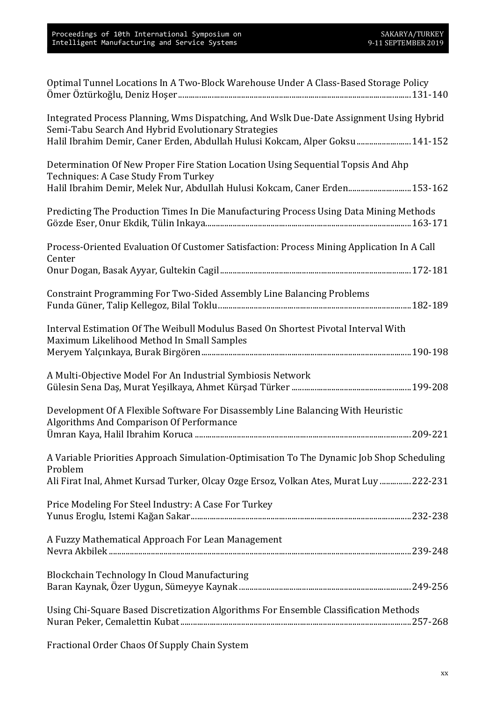| Optimal Tunnel Locations In A Two-Block Warehouse Under A Class-Based Storage Policy                                                           |
|------------------------------------------------------------------------------------------------------------------------------------------------|
| Integrated Process Planning, Wms Dispatching, And Wslk Due-Date Assignment Using Hybrid<br>Semi-Tabu Search And Hybrid Evolutionary Strategies |
| Halil Ibrahim Demir, Caner Erden, Abdullah Hulusi Kokcam, Alper Goksu  141-152                                                                 |
| Determination Of New Proper Fire Station Location Using Sequential Topsis And Ahp<br>Techniques: A Case Study From Turkey                      |
| Halil Ibrahim Demir, Melek Nur, Abdullah Hulusi Kokcam, Caner Erden 153-162                                                                    |
| Predicting The Production Times In Die Manufacturing Process Using Data Mining Methods                                                         |
| Process-Oriented Evaluation Of Customer Satisfaction: Process Mining Application In A Call<br>Center                                           |
|                                                                                                                                                |
| Constraint Programming For Two-Sided Assembly Line Balancing Problems                                                                          |
| Interval Estimation Of The Weibull Modulus Based On Shortest Pivotal Interval With<br>Maximum Likelihood Method In Small Samples               |
|                                                                                                                                                |
|                                                                                                                                                |
| A Multi-Objective Model For An Industrial Symbiosis Network                                                                                    |
| Development Of A Flexible Software For Disassembly Line Balancing With Heuristic<br>Algorithms And Comparison Of Performance                   |
|                                                                                                                                                |
| A Variable Priorities Approach Simulation-Optimisation To The Dynamic Job Shop Scheduling<br>Problem                                           |
| Ali Firat Inal, Ahmet Kursad Turker, Olcay Ozge Ersoz, Volkan Ates, Murat Luy  222-231                                                         |
| Price Modeling For Steel Industry: A Case For Turkey                                                                                           |
| A Fuzzy Mathematical Approach For Lean Management                                                                                              |
| Blockchain Technology In Cloud Manufacturing                                                                                                   |
| Using Chi-Square Based Discretization Algorithms For Ensemble Classification Methods                                                           |

Fractional Order Chaos Of Supply Chain System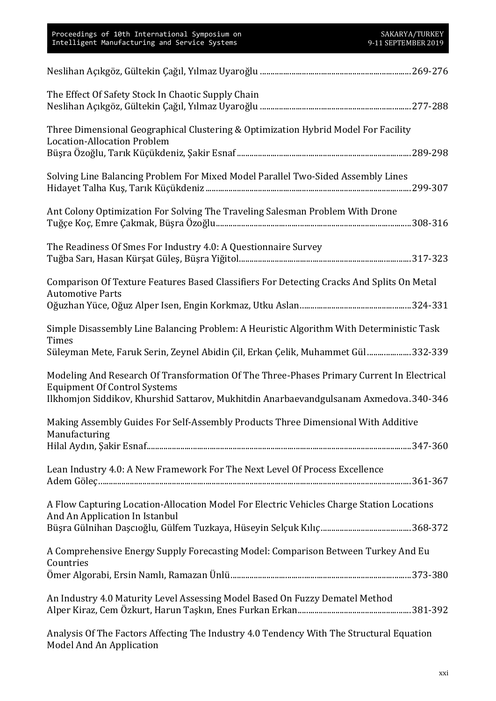| The Effect Of Safety Stock In Chaotic Supply Chain                                                                                                                                           |  |
|----------------------------------------------------------------------------------------------------------------------------------------------------------------------------------------------|--|
| Three Dimensional Geographical Clustering & Optimization Hybrid Model For Facility<br><b>Location-Allocation Problem</b>                                                                     |  |
| Solving Line Balancing Problem For Mixed Model Parallel Two-Sided Assembly Lines                                                                                                             |  |
| Ant Colony Optimization For Solving The Traveling Salesman Problem With Drone                                                                                                                |  |
| The Readiness Of Smes For Industry 4.0: A Questionnaire Survey                                                                                                                               |  |
| Comparison Of Texture Features Based Classifiers For Detecting Cracks And Splits On Metal<br><b>Automotive Parts</b>                                                                         |  |
| Simple Disassembly Line Balancing Problem: A Heuristic Algorithm With Deterministic Task<br><b>Times</b><br>Süleyman Mete, Faruk Serin, Zeynel Abidin Çil, Erkan Çelik, Muhammet Gül 332-339 |  |
| Modeling And Research Of Transformation Of The Three-Phases Primary Current In Electrical<br><b>Equipment Of Control Systems</b>                                                             |  |
| Ilkhomjon Siddikov, Khurshid Sattarov, Mukhitdin Anarbaevandgulsanam Axmedova. 340-346                                                                                                       |  |
| Making Assembly Guides For Self-Assembly Products Three Dimensional With Additive<br>Manufacturing                                                                                           |  |
| Lean Industry 4.0: A New Framework For The Next Level Of Process Excellence                                                                                                                  |  |
| A Flow Capturing Location-Allocation Model For Electric Vehicles Charge Station Locations<br>And An Application In Istanbul                                                                  |  |
| A Comprehensive Energy Supply Forecasting Model: Comparison Between Turkey And Eu<br>Countries                                                                                               |  |
| An Industry 4.0 Maturity Level Assessing Model Based On Fuzzy Dematel Method                                                                                                                 |  |
| Apolysis Of The Festers Affecting The Industry 1.0 Tendency With The Ctrustural Equation                                                                                                     |  |

Analysis Of The Factors Affecting The Industry 4.0 Tendency With The Structural Equation Model And An Application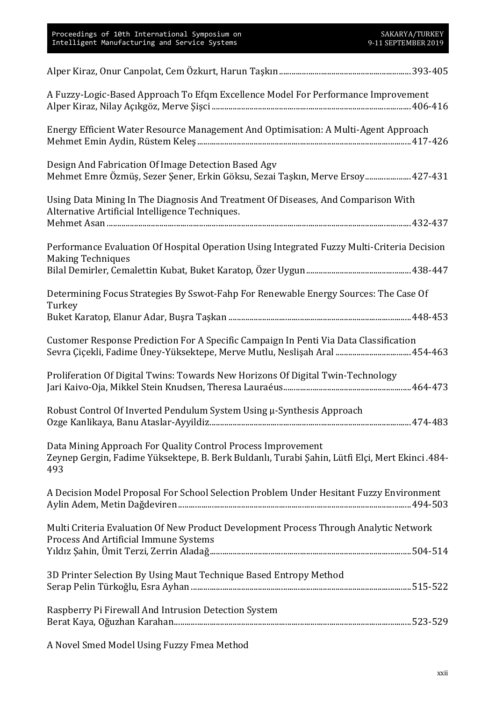| A Fuzzy-Logic-Based Approach To Efqm Excellence Model For Performance Improvement                                                                                            |  |
|------------------------------------------------------------------------------------------------------------------------------------------------------------------------------|--|
| Energy Efficient Water Resource Management And Optimisation: A Multi-Agent Approach                                                                                          |  |
| Design And Fabrication Of Image Detection Based Agv<br>Mehmet Emre Özmüş, Sezer Şener, Erkin Göksu, Sezai Taşkın, Merve Ersoy 427-431                                        |  |
| Using Data Mining In The Diagnosis And Treatment Of Diseases, And Comparison With<br>Alternative Artificial Intelligence Techniques.                                         |  |
| Performance Evaluation Of Hospital Operation Using Integrated Fuzzy Multi-Criteria Decision<br><b>Making Techniques</b>                                                      |  |
| Determining Focus Strategies By Sswot-Fahp For Renewable Energy Sources: The Case Of<br>Turkey                                                                               |  |
| Customer Response Prediction For A Specific Campaign In Penti Via Data Classification<br>454-463. Sevra Çiçekli, Fadime Üney-Yüksektepe, Merve Mutlu, Neslişah Aral  454-463 |  |
| Proliferation Of Digital Twins: Towards New Horizons Of Digital Twin-Technology                                                                                              |  |
| Robust Control Of Inverted Pendulum System Using µ-Synthesis Approach                                                                                                        |  |
| Data Mining Approach For Quality Control Process Improvement<br>Zeynep Gergin, Fadime Yüksektepe, B. Berk Buldanlı, Turabi Şahin, Lütfi Elçi, Mert Ekinci .484-<br>493       |  |
| A Decision Model Proposal For School Selection Problem Under Hesitant Fuzzy Environment                                                                                      |  |
| Multi Criteria Evaluation Of New Product Development Process Through Analytic Network<br>Process And Artificial Immune Systems                                               |  |
| 3D Printer Selection By Using Maut Technique Based Entropy Method                                                                                                            |  |
| Raspberry Pi Firewall And Intrusion Detection System                                                                                                                         |  |

A Novel Smed Model Using Fuzzy Fmea Method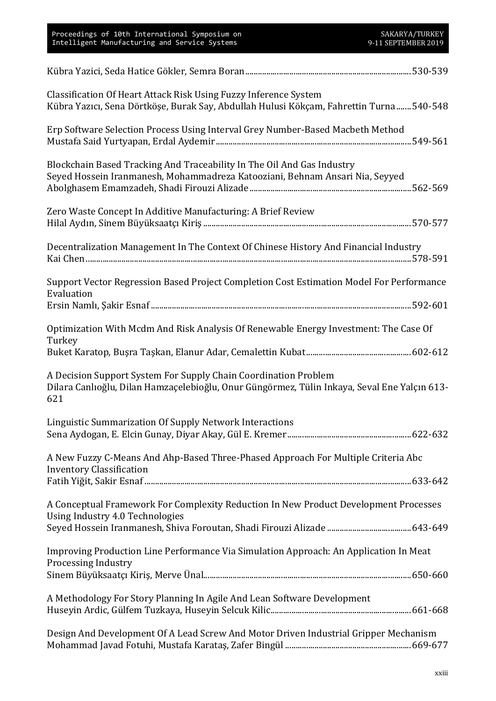| Proceedings of 10th International Symposium on<br>Intelligent Manufacturing and Service Systems                                                                        | SAKARYA/TURKEY<br>9-11 SEPTEMBER 2019 |
|------------------------------------------------------------------------------------------------------------------------------------------------------------------------|---------------------------------------|
|                                                                                                                                                                        |                                       |
| Classification Of Heart Attack Risk Using Fuzzy Inference System<br>Kübra Yazıcı, Sena Dörtköşe, Burak Say, Abdullah Hulusi Kökçam, Fahrettin Turna 540-548            |                                       |
| Erp Software Selection Process Using Interval Grey Number-Based Macbeth Method                                                                                         |                                       |
| Blockchain Based Tracking And Traceability In The Oil And Gas Industry<br>Seyed Hossein Iranmanesh, Mohammadreza Katooziani, Behnam Ansari Nia, Seyyed                 |                                       |
| Zero Waste Concept In Additive Manufacturing: A Brief Review                                                                                                           |                                       |
| Decentralization Management In The Context Of Chinese History And Financial Industry                                                                                   |                                       |
| Support Vector Regression Based Project Completion Cost Estimation Model For Performance<br>Evaluation                                                                 |                                       |
|                                                                                                                                                                        |                                       |
| Optimization With Mcdm And Risk Analysis Of Renewable Energy Investment: The Case Of<br>Turkey                                                                         |                                       |
|                                                                                                                                                                        |                                       |
| A Decision Support System For Supply Chain Coordination Problem<br>Dilara Canlıoğlu, Dilan Hamzaçelebioğlu, Onur Güngörmez, Tülin Inkaya, Seval Ene Yalçın 613-<br>621 |                                       |
| Linguistic Summarization Of Supply Network Interactions                                                                                                                |                                       |
| A New Fuzzy C-Means And Ahp-Based Three-Phased Approach For Multiple Criteria Abc<br><b>Inventory Classification</b>                                                   |                                       |
|                                                                                                                                                                        |                                       |
| A Conceptual Framework For Complexity Reduction In New Product Development Processes<br>Using Industry 4.0 Technologies                                                |                                       |
|                                                                                                                                                                        |                                       |
| Improving Production Line Performance Via Simulation Approach: An Application In Meat<br>Processing Industry                                                           |                                       |
|                                                                                                                                                                        |                                       |
| A Methodology For Story Planning In Agile And Lean Software Development                                                                                                |                                       |
| Design And Development Of A Lead Screw And Motor Driven Industrial Gripper Mechanism                                                                                   |                                       |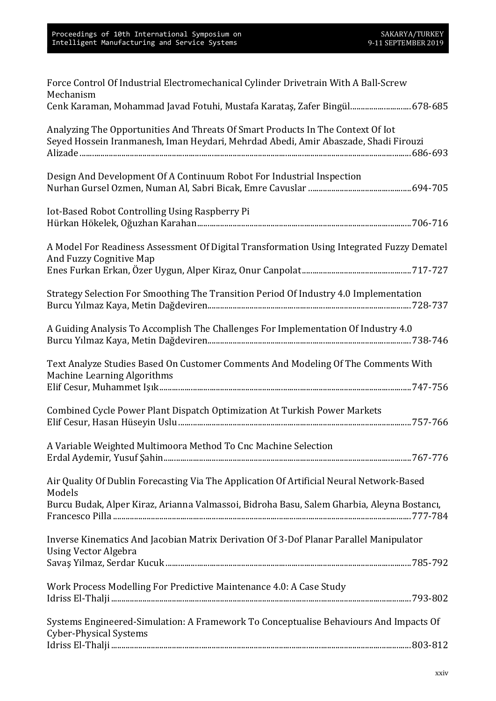| Force Control Of Industrial Electromechanical Cylinder Drivetrain With A Ball-Screw<br>Mechanism                                                                                                 |
|--------------------------------------------------------------------------------------------------------------------------------------------------------------------------------------------------|
| Cenk Karaman, Mohammad Javad Fotuhi, Mustafa Karataş, Zafer Bingül 678-685                                                                                                                       |
| Analyzing The Opportunities And Threats Of Smart Products In The Context Of Iot<br>Seyed Hossein Iranmanesh, Iman Heydari, Mehrdad Abedi, Amir Abaszade, Shadi Firouzi                           |
| Design And Development Of A Continuum Robot For Industrial Inspection                                                                                                                            |
| Iot-Based Robot Controlling Using Raspberry Pi                                                                                                                                                   |
| A Model For Readiness Assessment Of Digital Transformation Using Integrated Fuzzy Dematel<br>And Fuzzy Cognitive Map                                                                             |
| Strategy Selection For Smoothing The Transition Period Of Industry 4.0 Implementation                                                                                                            |
| A Guiding Analysis To Accomplish The Challenges For Implementation Of Industry 4.0                                                                                                               |
| Text Analyze Studies Based On Customer Comments And Modeling Of The Comments With<br>Machine Learning Algorithms                                                                                 |
| Combined Cycle Power Plant Dispatch Optimization At Turkish Power Markets                                                                                                                        |
| A Variable Weighted Multimoora Method To Cnc Machine Selection                                                                                                                                   |
| Air Quality Of Dublin Forecasting Via The Application Of Artificial Neural Network-Based<br>Models<br>Burcu Budak, Alper Kiraz, Arianna Valmassoi, Bidroha Basu, Salem Gharbia, Aleyna Bostancı, |
|                                                                                                                                                                                                  |
| Inverse Kinematics And Jacobian Matrix Derivation Of 3-Dof Planar Parallel Manipulator<br><b>Using Vector Algebra</b>                                                                            |
|                                                                                                                                                                                                  |
| Work Process Modelling For Predictive Maintenance 4.0: A Case Study                                                                                                                              |
| Systems Engineered-Simulation: A Framework To Conceptualise Behaviours And Impacts Of<br><b>Cyber-Physical Systems</b>                                                                           |
|                                                                                                                                                                                                  |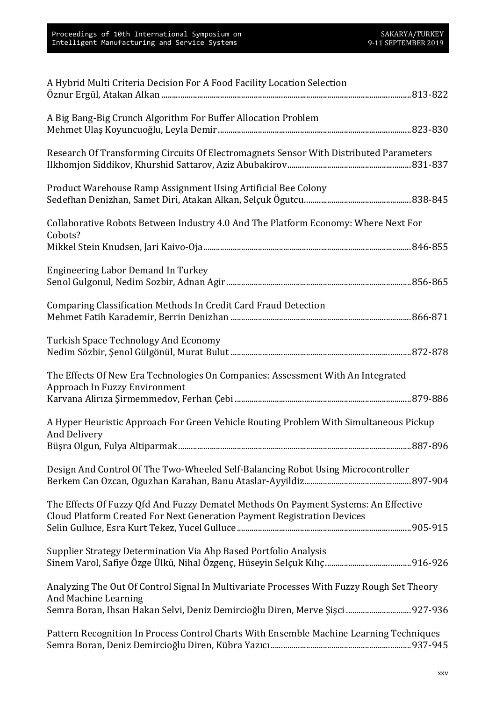| A Hybrid Multi Criteria Decision For A Food Facility Location Selection                                                                                                                            |
|----------------------------------------------------------------------------------------------------------------------------------------------------------------------------------------------------|
| A Big Bang-Big Crunch Algorithm For Buffer Allocation Problem                                                                                                                                      |
| Research Of Transforming Circuits Of Electromagnets Sensor With Distributed Parameters                                                                                                             |
| Product Warehouse Ramp Assignment Using Artificial Bee Colony                                                                                                                                      |
| Collaborative Robots Between Industry 4.0 And The Platform Economy: Where Next For<br>Cobots?                                                                                                      |
|                                                                                                                                                                                                    |
| Engineering Labor Demand In Turkey                                                                                                                                                                 |
| Comparing Classification Methods In Credit Card Fraud Detection                                                                                                                                    |
| <b>Turkish Space Technology And Economy</b>                                                                                                                                                        |
| The Effects Of New Era Technologies On Companies: Assessment With An Integrated<br>Approach In Fuzzy Environment                                                                                   |
| A Hyper Heuristic Approach For Green Vehicle Routing Problem With Simultaneous Pickup<br>And Delivery                                                                                              |
| Design And Control Of The Two-Wheeled Self-Balancing Robot Using Microcontroller                                                                                                                   |
| The Effects Of Fuzzy Qfd And Fuzzy Dematel Methods On Payment Systems: An Effective<br>Cloud Platform Created For Next Generation Payment Registration Devices                                     |
| Supplier Strategy Determination Via Ahp Based Portfolio Analysis                                                                                                                                   |
| Analyzing The Out Of Control Signal In Multivariate Processes With Fuzzy Rough Set Theory<br>And Machine Learning<br>Semra Boran, Ihsan Hakan Selvi, Deniz Demircioğlu Diren, Merve Şişci  927-936 |
| Pattern Recognition In Process Control Charts With Ensemble Machine Learning Techniques                                                                                                            |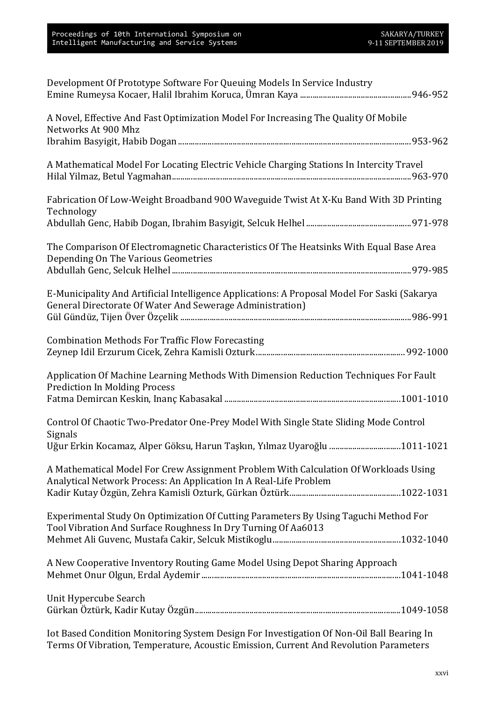| Development Of Prototype Software For Queuing Models In Service Industry                                                                                  |  |
|-----------------------------------------------------------------------------------------------------------------------------------------------------------|--|
| A Novel, Effective And Fast Optimization Model For Increasing The Quality Of Mobile<br>Networks At 900 Mhz                                                |  |
|                                                                                                                                                           |  |
| A Mathematical Model For Locating Electric Vehicle Charging Stations In Intercity Travel                                                                  |  |
| Fabrication Of Low-Weight Broadband 900 Waveguide Twist At X-Ku Band With 3D Printing<br>Technology                                                       |  |
|                                                                                                                                                           |  |
| The Comparison Of Electromagnetic Characteristics Of The Heatsinks With Equal Base Area<br>Depending On The Various Geometries                            |  |
|                                                                                                                                                           |  |
| E-Municipality And Artificial Intelligence Applications: A Proposal Model For Saski (Sakarya<br>General Directorate Of Water And Sewerage Administration) |  |
|                                                                                                                                                           |  |
| <b>Combination Methods For Traffic Flow Forecasting</b>                                                                                                   |  |
| Application Of Machine Learning Methods With Dimension Reduction Techniques For Fault<br><b>Prediction In Molding Process</b>                             |  |
|                                                                                                                                                           |  |
| Control Of Chaotic Two-Predator One-Prey Model With Single State Sliding Mode Control<br>Signals                                                          |  |
| Uğur Erkin Kocamaz, Alper Göksu, Harun Taşkın, Yılmaz Uyaroğlu 1011-1021                                                                                  |  |
| A Mathematical Model For Crew Assignment Problem With Calculation Of Workloads Using                                                                      |  |
| Analytical Network Process: An Application In A Real-Life Problem                                                                                         |  |
| Experimental Study On Optimization Of Cutting Parameters By Using Taguchi Method For<br>Tool Vibration And Surface Roughness In Dry Turning Of Aa6013     |  |
|                                                                                                                                                           |  |
| A New Cooperative Inventory Routing Game Model Using Depot Sharing Approach                                                                               |  |
| Unit Hypercube Search                                                                                                                                     |  |
| Iot Based Condition Monitoring System Design For Investigation Of Non-Oil Ball Bearing In                                                                 |  |

Terms Of Vibration, Temperature, Acoustic Emission, Current And Revolution Parameters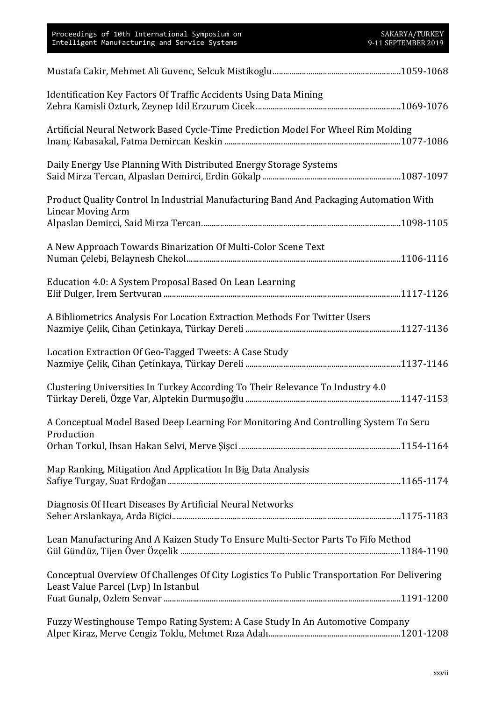| Proceedings of 10th International Symposium on<br>Intelligent Manufacturing and Service Systems                                     | SAKARYA/TURKEY<br>9-11 SEPTEMBER 2019 |
|-------------------------------------------------------------------------------------------------------------------------------------|---------------------------------------|
|                                                                                                                                     |                                       |
| Identification Key Factors Of Traffic Accidents Using Data Mining                                                                   |                                       |
| Artificial Neural Network Based Cycle-Time Prediction Model For Wheel Rim Molding                                                   |                                       |
| Daily Energy Use Planning With Distributed Energy Storage Systems                                                                   |                                       |
| Product Quality Control In Industrial Manufacturing Band And Packaging Automation With<br><b>Linear Moving Arm</b>                  |                                       |
| A New Approach Towards Binarization Of Multi-Color Scene Text                                                                       |                                       |
| Education 4.0: A System Proposal Based On Lean Learning                                                                             |                                       |
| A Bibliometrics Analysis For Location Extraction Methods For Twitter Users                                                          |                                       |
| Location Extraction Of Geo-Tagged Tweets: A Case Study                                                                              |                                       |
| Clustering Universities In Turkey According To Their Relevance To Industry 4.0                                                      |                                       |
| A Conceptual Model Based Deep Learning For Monitoring And Controlling System To Seru<br>Production                                  |                                       |
|                                                                                                                                     |                                       |
| Map Ranking, Mitigation And Application In Big Data Analysis                                                                        |                                       |
| Diagnosis Of Heart Diseases By Artificial Neural Networks                                                                           |                                       |
| Lean Manufacturing And A Kaizen Study To Ensure Multi-Sector Parts To Fifo Method                                                   |                                       |
| Conceptual Overview Of Challenges Of City Logistics To Public Transportation For Delivering<br>Least Value Parcel (Lvp) In Istanbul |                                       |
|                                                                                                                                     |                                       |
| Fuzzy Westinghouse Tempo Rating System: A Case Study In An Automotive Company                                                       |                                       |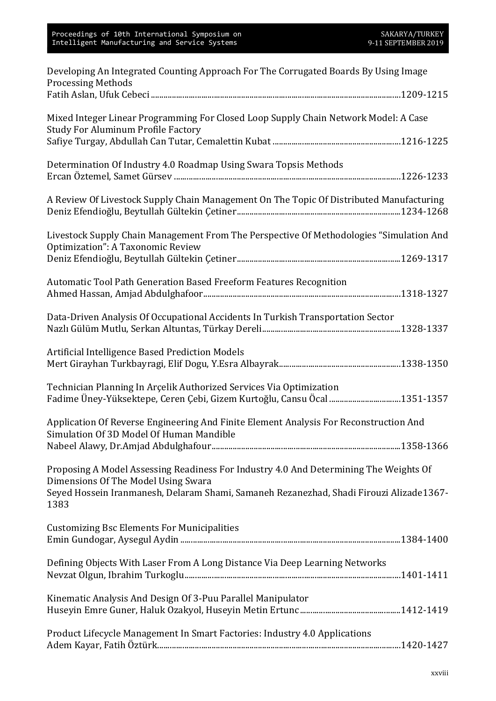| Developing An Integrated Counting Approach For The Corrugated Boards By Using Image<br><b>Processing Methods</b>                                |
|-------------------------------------------------------------------------------------------------------------------------------------------------|
|                                                                                                                                                 |
| Mixed Integer Linear Programming For Closed Loop Supply Chain Network Model: A Case<br><b>Study For Aluminum Profile Factory</b>                |
|                                                                                                                                                 |
| Determination Of Industry 4.0 Roadmap Using Swara Topsis Methods                                                                                |
| A Review Of Livestock Supply Chain Management On The Topic Of Distributed Manufacturing                                                         |
| Livestock Supply Chain Management From The Perspective Of Methodologies "Simulation And<br>Optimization": A Taxonomic Review                    |
|                                                                                                                                                 |
| Automatic Tool Path Generation Based Freeform Features Recognition                                                                              |
| Data-Driven Analysis Of Occupational Accidents In Turkish Transportation Sector                                                                 |
| Artificial Intelligence Based Prediction Models                                                                                                 |
| Technician Planning In Arçelik Authorized Services Via Optimization<br>Fadime Üney-Yüksektepe, Ceren Çebi, Gizem Kurtoğlu, Cansu Öcal 1351-1357 |
| Application Of Reverse Engineering And Finite Element Analysis For Reconstruction And<br>Simulation Of 3D Model Of Human Mandible               |
|                                                                                                                                                 |
| Proposing A Model Assessing Readiness For Industry 4.0 And Determining The Weights Of<br>Dimensions Of The Model Using Swara                    |
| Seyed Hossein Iranmanesh, Delaram Shami, Samaneh Rezanezhad, Shadi Firouzi Alizade1367-<br>1383                                                 |
| <b>Customizing Bsc Elements For Municipalities</b>                                                                                              |
| Defining Objects With Laser From A Long Distance Via Deep Learning Networks                                                                     |
| Kinematic Analysis And Design Of 3-Puu Parallel Manipulator                                                                                     |
| Product Lifecycle Management In Smart Factories: Industry 4.0 Applications                                                                      |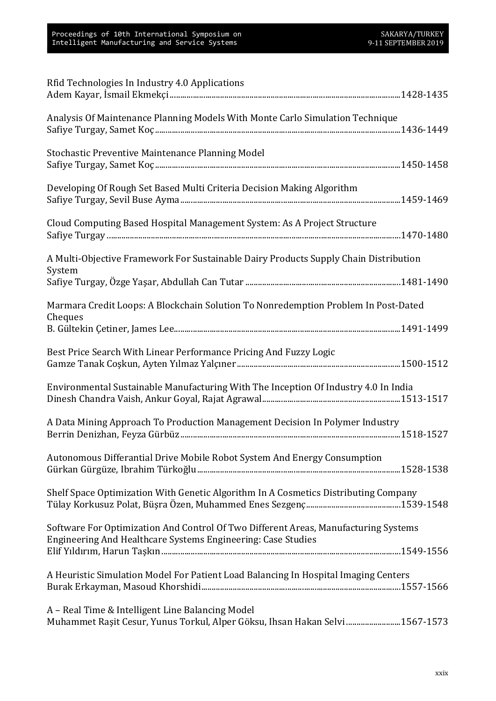| Rfid Technologies In Industry 4.0 Applications                                                                                                      |
|-----------------------------------------------------------------------------------------------------------------------------------------------------|
| Analysis Of Maintenance Planning Models With Monte Carlo Simulation Technique                                                                       |
| Stochastic Preventive Maintenance Planning Model                                                                                                    |
| Developing Of Rough Set Based Multi Criteria Decision Making Algorithm                                                                              |
| Cloud Computing Based Hospital Management System: As A Project Structure                                                                            |
| A Multi-Objective Framework For Sustainable Dairy Products Supply Chain Distribution<br>System                                                      |
|                                                                                                                                                     |
| Marmara Credit Loops: A Blockchain Solution To Nonredemption Problem In Post-Dated                                                                  |
| Cheques                                                                                                                                             |
| Best Price Search With Linear Performance Pricing And Fuzzy Logic                                                                                   |
| Environmental Sustainable Manufacturing With The Inception Of Industry 4.0 In India                                                                 |
| A Data Mining Approach To Production Management Decision In Polymer Industry                                                                        |
| Autonomous Differantial Drive Mobile Robot System And Energy Consumption                                                                            |
| Shelf Space Optimization With Genetic Algorithm In A Cosmetics Distributing Company                                                                 |
| Software For Optimization And Control Of Two Different Areas, Manufacturing Systems<br>Engineering And Healthcare Systems Engineering: Case Studies |
| A Heuristic Simulation Model For Patient Load Balancing In Hospital Imaging Centers                                                                 |
| A – Real Time & Intelligent Line Balancing Model<br>Muhammet Raşit Cesur, Yunus Torkul, Alper Göksu, Ihsan Hakan Selvi 1567-1573                    |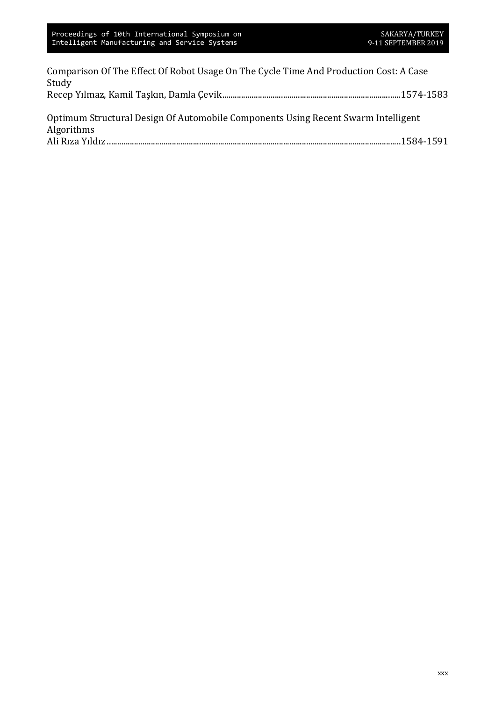| Comparison Of The Effect Of Robot Usage On The Cycle Time And Production Cost: A Case |  |
|---------------------------------------------------------------------------------------|--|
| Study                                                                                 |  |
|                                                                                       |  |
|                                                                                       |  |
| Optimum Structural Design Of Automobile Components Using Recent Swarm Intelligent     |  |
| Algorithms                                                                            |  |
|                                                                                       |  |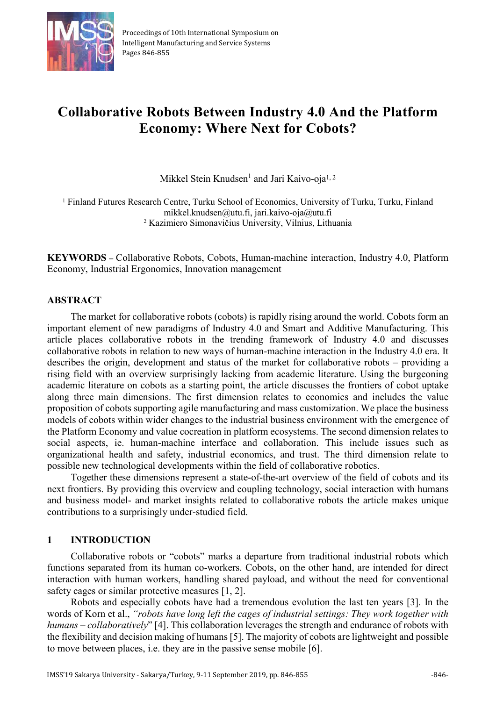

## **Collaborative Robots Between Industry 4.0 And the Platform Economy: Where Next for Cobots?**

Mikkel Stein Knudsen<sup>1</sup> and Jari Kaivo-oja<sup>1, 2</sup>

<sup>1</sup> Finland Futures Research Centre, Turku School of Economics, University of Turku, Turku, Finland mikkel.knudsen@utu.fi, jari.kaivo-oja@utu.fi 2 Kazimiero Simonavičius University, Vilnius, Lithuania

**KEYWORDS –** Collaborative Robots, Cobots, Human-machine interaction, Industry 4.0, Platform Economy, Industrial Ergonomics, Innovation management

#### **ABSTRACT**

The market for collaborative robots (cobots) is rapidly rising around the world. Cobots form an important element of new paradigms of Industry 4.0 and Smart and Additive Manufacturing. This article places collaborative robots in the trending framework of Industry 4.0 and discusses collaborative robots in relation to new ways of human-machine interaction in the Industry 4.0 era. It describes the origin, development and status of the market for collaborative robots – providing a rising field with an overview surprisingly lacking from academic literature. Using the burgeoning academic literature on cobots as a starting point, the article discusses the frontiers of cobot uptake along three main dimensions. The first dimension relates to economics and includes the value proposition of cobots supporting agile manufacturing and mass customization. We place the business models of cobots within wider changes to the industrial business environment with the emergence of the Platform Economy and value cocreation in platform ecosystems. The second dimension relates to social aspects, ie. human-machine interface and collaboration. This include issues such as organizational health and safety, industrial economics, and trust. The third dimension relate to possible new technological developments within the field of collaborative robotics.

Together these dimensions represent a state-of-the-art overview of the field of cobots and its next frontiers. By providing this overview and coupling technology, social interaction with humans and business model- and market insights related to collaborative robots the article makes unique contributions to a surprisingly under-studied field.

#### **1 INTRODUCTION**

Collaborative robots or "cobots" marks a departure from traditional industrial robots which functions separated from its human co-workers. Cobots, on the other hand, are intended for direct interaction with human workers, handling shared payload, and without the need for conventional safety cages or similar protective measures [1, 2].

Robots and especially cobots have had a tremendous evolution the last ten years [3]. In the words of Korn et al., *"robots have long left the cages of industrial settings: They work together with humans – collaboratively*" [4]. This collaboration leverages the strength and endurance of robots with the flexibility and decision making of humans [5]. The majority of cobots are lightweight and possible to move between places, i.e. they are in the passive sense mobile [6].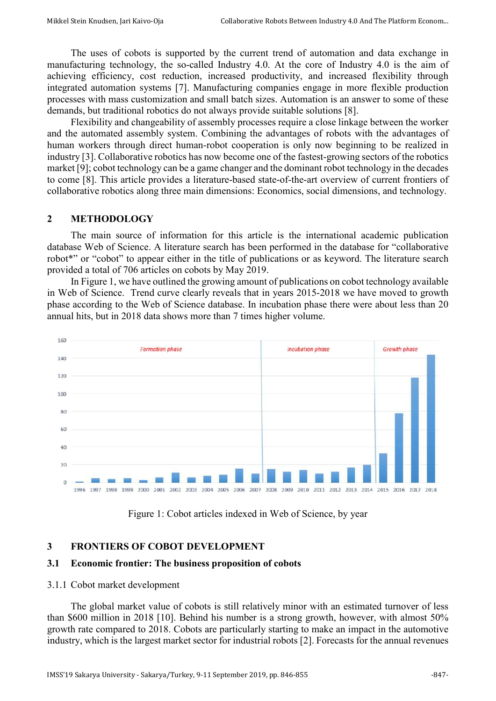The uses of cobots is supported by the current trend of automation and data exchange in manufacturing technology, the so-called Industry 4.0. At the core of Industry 4.0 is the aim of achieving efficiency, cost reduction, increased productivity, and increased flexibility through integrated automation systems [7]. Manufacturing companies engage in more flexible production processes with mass customization and small batch sizes. Automation is an answer to some of these demands, but traditional robotics do not always provide suitable solutions [8].

Flexibility and changeability of assembly processes require a close linkage between the worker and the automated assembly system. Combining the advantages of robots with the advantages of human workers through direct human-robot cooperation is only now beginning to be realized in industry [3]. Collaborative robotics has now become one of the fastest-growing sectors of the robotics market [9]; cobot technology can be a game changer and the dominant robot technology in the decades to come [8]. This article provides a literature-based state-of-the-art overview of current frontiers of collaborative robotics along three main dimensions: Economics, social dimensions, and technology.

#### **2 METHODOLOGY**

The main source of information for this article is the international academic publication database Web of Science. A literature search has been performed in the database for "collaborative robot<sup>\*</sup>" or "cobot" to appear either in the title of publications or as keyword. The literature search provided a total of 706 articles on cobots by May 2019.

In Figure 1, we have outlined the growing amount of publications on cobot technology available in Web of Science. Trend curve clearly reveals that in years 2015-2018 we have moved to growth phase according to the Web of Science database. In incubation phase there were about less than 20 annual hits, but in 2018 data shows more than 7 times higher volume.



Figure 1: Cobot articles indexed in Web of Science, by year

#### **3 FRONTIERS OF COBOT DEVELOPMENT**

#### **3.1 Economic frontier: The business proposition of cobots**

#### 3.1.1 Cobot market development

The global market value of cobots is still relatively minor with an estimated turnover of less than \$600 million in 2018 [10]. Behind his number is a strong growth, however, with almost 50% growth rate compared to 2018. Cobots are particularly starting to make an impact in the automotive industry, which is the largest market sector for industrial robots [2]. Forecasts for the annual revenues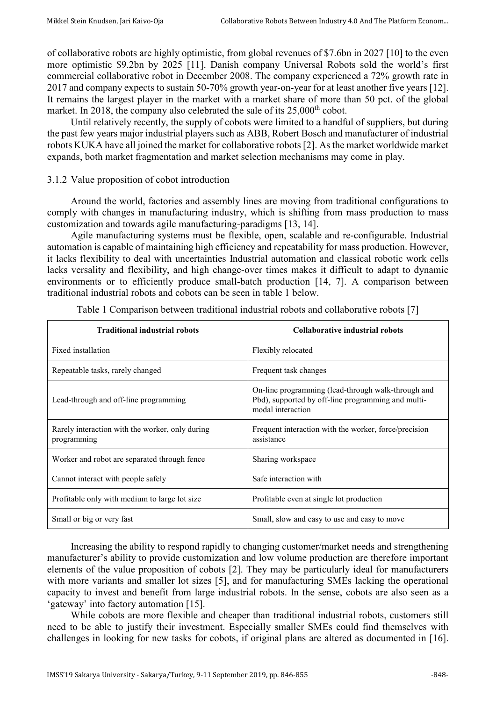of collaborative robots are highly optimistic, from global revenues of \$7.6bn in 2027 [10] to the even more optimistic \$9.2bn by 2025 [11]. Danish company Universal Robots sold the world's first commercial collaborative robot in December 2008. The company experienced a 72% growth rate in 2017 and company expects to sustain 50-70% growth year-on-year for at least another five years [12]. It remains the largest player in the market with a market share of more than 50 pct. of the global market. In 2018, the company also celebrated the sale of its  $25,000<sup>th</sup>$  cobot.

Until relatively recently, the supply of cobots were limited to a handful of suppliers, but during the past few years major industrial players such as ABB, Robert Bosch and manufacturer of industrial robots KUKA have all joined the market for collaborative robots [2]. As the market worldwide market expands, both market fragmentation and market selection mechanisms may come in play.

#### 3.1.2 Value proposition of cobot introduction

Around the world, factories and assembly lines are moving from traditional configurations to comply with changes in manufacturing industry, which is shifting from mass production to mass customization and towards agile manufacturing-paradigms [13, 14].

Agile manufacturing systems must be flexible, open, scalable and re-configurable. Industrial automation is capable of maintaining high efficiency and repeatability for mass production. However, it lacks flexibility to deal with uncertainties Industrial automation and classical robotic work cells lacks versality and flexibility, and high change-over times makes it difficult to adapt to dynamic environments or to efficiently produce small-batch production [14, 7]. A comparison between traditional industrial robots and cobots can be seen in table 1 below.

| <b>Traditional industrial robots</b>                           | Collaborative industrial robots                                                                                               |
|----------------------------------------------------------------|-------------------------------------------------------------------------------------------------------------------------------|
| Fixed installation                                             | Flexibly relocated                                                                                                            |
| Repeatable tasks, rarely changed                               | Frequent task changes                                                                                                         |
| Lead-through and off-line programming                          | On-line programming (lead-through walk-through and<br>Pbd), supported by off-line programming and multi-<br>modal interaction |
| Rarely interaction with the worker, only during<br>programming | Frequent interaction with the worker, force/precision<br>assistance                                                           |
| Worker and robot are separated through fence                   | Sharing workspace                                                                                                             |
| Cannot interact with people safely                             | Safe interaction with                                                                                                         |
| Profitable only with medium to large lot size                  | Profitable even at single lot production                                                                                      |
| Small or big or very fast                                      | Small, slow and easy to use and easy to move                                                                                  |

Table 1 Comparison between traditional industrial robots and collaborative robots [7]

Increasing the ability to respond rapidly to changing customer/market needs and strengthening manufacturer's ability to provide customization and low volume production are therefore important elements of the value proposition of cobots [2]. They may be particularly ideal for manufacturers with more variants and smaller lot sizes [5], and for manufacturing SMEs lacking the operational capacity to invest and benefit from large industrial robots. In the sense, cobots are also seen as a 'gateway' into factory automation [15].

While cobots are more flexible and cheaper than traditional industrial robots, customers still need to be able to justify their investment. Especially smaller SMEs could find themselves with challenges in looking for new tasks for cobots, if original plans are altered as documented in [16].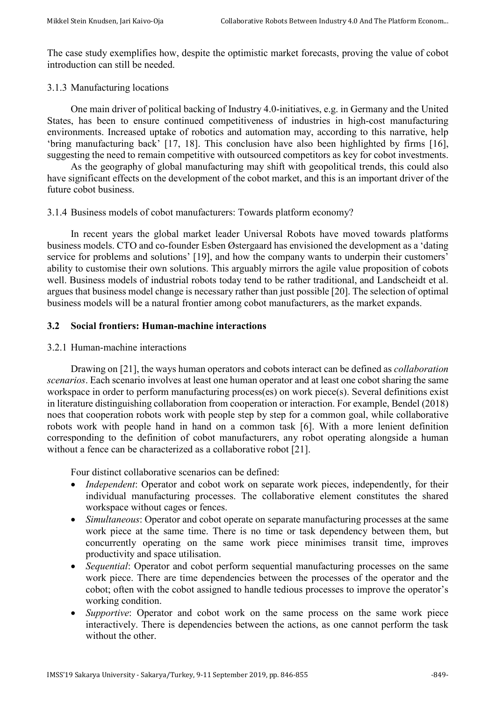The case study exemplifies how, despite the optimistic market forecasts, proving the value of cobot introduction can still be needed.

#### 3.1.3 Manufacturing locations

One main driver of political backing of Industry 4.0-initiatives, e.g. in Germany and the United States, has been to ensure continued competitiveness of industries in high-cost manufacturing environments. Increased uptake of robotics and automation may, according to this narrative, help 'bring manufacturing back' [17, 18]. This conclusion have also been highlighted by firms [16], suggesting the need to remain competitive with outsourced competitors as key for cobot investments.

As the geography of global manufacturing may shift with geopolitical trends, this could also have significant effects on the development of the cobot market, and this is an important driver of the future cobot business.

#### 3.1.4 Business models of cobot manufacturers: Towards platform economy?

In recent years the global market leader Universal Robots have moved towards platforms business models. CTO and co-founder Esben Østergaard has envisioned the development as a 'dating service for problems and solutions' [19], and how the company wants to underpin their customers' ability to customise their own solutions. This arguably mirrors the agile value proposition of cobots well. Business models of industrial robots today tend to be rather traditional, and Landscheidt et al. argues that business model change is necessary rather than just possible [20]. The selection of optimal business models will be a natural frontier among cobot manufacturers, as the market expands.

#### **3.2 Social frontiers: Human-machine interactions**

#### 3.2.1 Human-machine interactions

Drawing on [21], the ways human operators and cobots interact can be defined as *collaboration scenarios*. Each scenario involves at least one human operator and at least one cobot sharing the same workspace in order to perform manufacturing process(es) on work piece(s). Several definitions exist in literature distinguishing collaboration from cooperation or interaction. For example, Bendel (2018) noes that cooperation robots work with people step by step for a common goal, while collaborative robots work with people hand in hand on a common task [6]. With a more lenient definition corresponding to the definition of cobot manufacturers, any robot operating alongside a human without a fence can be characterized as a collaborative robot [21].

Four distinct collaborative scenarios can be defined:

- *Independent*: Operator and cobot work on separate work pieces, independently, for their individual manufacturing processes. The collaborative element constitutes the shared workspace without cages or fences.
- *Simultaneous*: Operator and cobot operate on separate manufacturing processes at the same work piece at the same time. There is no time or task dependency between them, but concurrently operating on the same work piece minimises transit time, improves productivity and space utilisation.
- *Sequential*: Operator and cobot perform sequential manufacturing processes on the same work piece. There are time dependencies between the processes of the operator and the cobot; often with the cobot assigned to handle tedious processes to improve the operator's working condition.
- *Supportive*: Operator and cobot work on the same process on the same work piece interactively. There is dependencies between the actions, as one cannot perform the task without the other.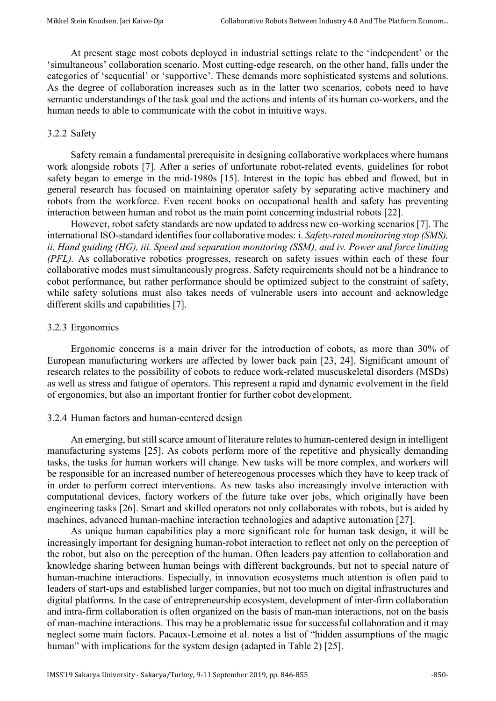At present stage most cobots deployed in industrial settings relate to the 'independent' or the 'simultaneous' collaboration scenario. Most cutting-edge research, on the other hand, falls under the categories of 'sequential' or 'supportive'. These demands more sophisticated systems and solutions. As the degree of collaboration increases such as in the latter two scenarios, cobots need to have semantic understandings of the task goal and the actions and intents of its human co-workers, and the human needs to able to communicate with the cobot in intuitive ways.

#### 3.2.2 Safety

Safety remain a fundamental prerequisite in designing collaborative workplaces where humans work alongside robots [7]. After a series of unfortunate robot-related events, guidelines for robot safety began to emerge in the mid-1980s [15]. Interest in the topic has ebbed and flowed, but in general research has focused on maintaining operator safety by separating active machinery and robots from the workforce. Even recent books on occupational health and safety has preventing interaction between human and robot as the main point concerning industrial robots [22].

However, robot safety standards are now updated to address new co-working scenarios [7]. The international ISO-standard identifies four collaborative modes: i. *Safety-rated monitoring stop (SMS), ii. Hand guiding (HG), iii. Speed and separation monitoring (SSM), and iv. Power and force limiting (PFL).* As collaborative robotics progresses, research on safety issues within each of these four collaborative modes must simultaneously progress. Safety requirements should not be a hindrance to cobot performance, but rather performance should be optimized subject to the constraint of safety, while safety solutions must also takes needs of vulnerable users into account and acknowledge different skills and capabilities [7].

#### 3.2.3 Ergonomics

Ergonomic concerns is a main driver for the introduction of cobots, as more than 30% of European manufacturing workers are affected by lower back pain [23, 24]. Significant amount of research relates to the possibility of cobots to reduce work-related muscuskeletal disorders (MSDs) as well as stress and fatigue of operators. This represent a rapid and dynamic evolvement in the field of ergonomics, but also an important frontier for further cobot development.

#### 3.2.4 Human factors and human-centered design

An emerging, but still scarce amount of literature relates to human-centered design in intelligent manufacturing systems [25]. As cobots perform more of the repetitive and physically demanding tasks, the tasks for human workers will change. New tasks will be more complex, and workers will be responsible for an increased number of hetereogenous processes which they have to keep track of in order to perform correct interventions. As new tasks also increasingly involve interaction with computational devices, factory workers of the future take over jobs, which originally have been engineering tasks [26]. Smart and skilled operators not only collaborates with robots, but is aided by machines, advanced human-machine interaction technologies and adaptive automation [27].

As unique human capabilities play a more significant role for human task design, it will be increasingly important for designing human-robot interaction to reflect not only on the perception of the robot, but also on the perception of the human. Often leaders pay attention to collaboration and knowledge sharing between human beings with different backgrounds, but not to special nature of human-machine interactions. Especially, in innovation ecosystems much attention is often paid to leaders of start-ups and established larger companies, but not too much on digital infrastructures and digital platforms. In the case of entrepreneurship ecosystem, development of inter-firm collaboration and intra-firm collaboration is often organized on the basis of man-man interactions, not on the basis of man-machine interactions. This may be a problematic issue for successful collaboration and it may neglect some main factors. Pacaux-Lemoine et al. notes a list of "hidden assumptions of the magic human" with implications for the system design (adapted in Table 2) [25].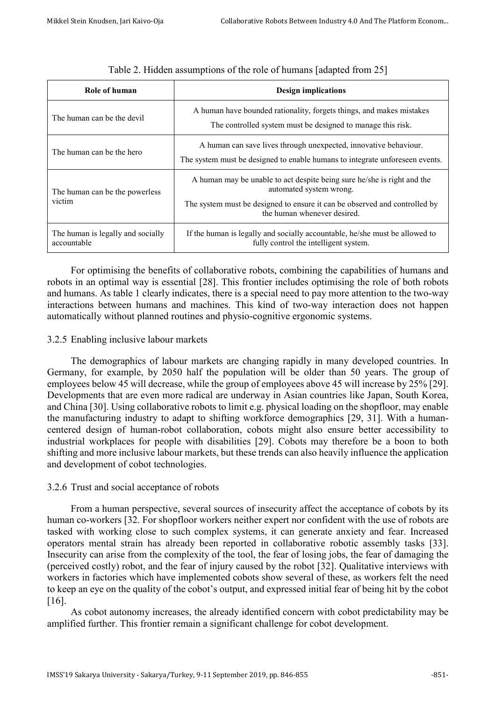| Role of human                                    | <b>Design implications</b>                                                                                                                                                                                      |
|--------------------------------------------------|-----------------------------------------------------------------------------------------------------------------------------------------------------------------------------------------------------------------|
| The human can be the devil                       | A human have bounded rationality, forgets things, and makes mistakes<br>The controlled system must be designed to manage this risk.                                                                             |
| The human can be the hero                        | A human can save lives through unexpected, innovative behaviour.<br>The system must be designed to enable humans to integrate unforeseen events.                                                                |
| The human can be the powerless<br>victim         | A human may be unable to act despite being sure he/she is right and the<br>automated system wrong.<br>The system must be designed to ensure it can be observed and controlled by<br>the human whenever desired. |
| The human is legally and socially<br>accountable | If the human is legally and socially accountable, he/she must be allowed to<br>fully control the intelligent system.                                                                                            |

#### Table 2. Hidden assumptions of the role of humans [adapted from 25]

For optimising the benefits of collaborative robots, combining the capabilities of humans and robots in an optimal way is essential [28]. This frontier includes optimising the role of both robots and humans. As table 1 clearly indicates, there is a special need to pay more attention to the two-way interactions between humans and machines. This kind of two-way interaction does not happen automatically without planned routines and physio-cognitive ergonomic systems.

#### 3.2.5 Enabling inclusive labour markets

The demographics of labour markets are changing rapidly in many developed countries. In Germany, for example, by 2050 half the population will be older than 50 years. The group of employees below 45 will decrease, while the group of employees above 45 will increase by 25% [29]. Developments that are even more radical are underway in Asian countries like Japan, South Korea, and China [30]. Using collaborative robots to limit e.g. physical loading on the shopfloor, may enable the manufacturing industry to adapt to shifting workforce demographics [29, 31]. With a humancentered design of human-robot collaboration, cobots might also ensure better accessibility to industrial workplaces for people with disabilities [29]. Cobots may therefore be a boon to both shifting and more inclusive labour markets, but these trends can also heavily influence the application and development of cobot technologies.

#### 3.2.6 Trust and social acceptance of robots

From a human perspective, several sources of insecurity affect the acceptance of cobots by its human co-workers [32. For shopfloor workers neither expert nor confident with the use of robots are tasked with working close to such complex systems, it can generate anxiety and fear. Increased operators mental strain has already been reported in collaborative robotic assembly tasks [33]. Insecurity can arise from the complexity of the tool, the fear of losing jobs, the fear of damaging the (perceived costly) robot, and the fear of injury caused by the robot [32]. Qualitative interviews with workers in factories which have implemented cobots show several of these, as workers felt the need to keep an eye on the quality of the cobot's output, and expressed initial fear of being hit by the cobot [16].

As cobot autonomy increases, the already identified concern with cobot predictability may be amplified further. This frontier remain a significant challenge for cobot development.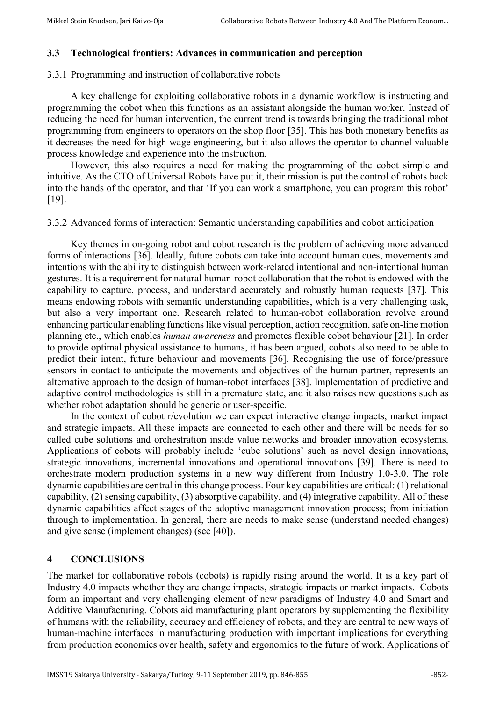#### **3.3 Technological frontiers: Advances in communication and perception**

#### 3.3.1 Programming and instruction of collaborative robots

A key challenge for exploiting collaborative robots in a dynamic workflow is instructing and programming the cobot when this functions as an assistant alongside the human worker. Instead of reducing the need for human intervention, the current trend is towards bringing the traditional robot programming from engineers to operators on the shop floor [35]. This has both monetary benefits as it decreases the need for high-wage engineering, but it also allows the operator to channel valuable process knowledge and experience into the instruction.

However, this also requires a need for making the programming of the cobot simple and intuitive. As the CTO of Universal Robots have put it, their mission is put the control of robots back into the hands of the operator, and that 'If you can work a smartphone, you can program this robot' [19].

3.3.2 Advanced forms of interaction: Semantic understanding capabilities and cobot anticipation

Key themes in on-going robot and cobot research is the problem of achieving more advanced forms of interactions [36]. Ideally, future cobots can take into account human cues, movements and intentions with the ability to distinguish between work-related intentional and non-intentional human gestures. It is a requirement for natural human-robot collaboration that the robot is endowed with the capability to capture, process, and understand accurately and robustly human requests [37]. This means endowing robots with semantic understanding capabilities, which is a very challenging task, but also a very important one. Research related to human-robot collaboration revolve around enhancing particular enabling functions like visual perception, action recognition, safe on-line motion planning etc., which enables *human awareness* and promotes flexible cobot behaviour [21]. In order to provide optimal physical assistance to humans, it has been argued, cobots also need to be able to predict their intent, future behaviour and movements [36]. Recognising the use of force/pressure sensors in contact to anticipate the movements and objectives of the human partner, represents an alternative approach to the design of human-robot interfaces [38]. Implementation of predictive and adaptive control methodologies is still in a premature state, and it also raises new questions such as whether robot adaptation should be generic or user-specific.

In the context of cobot r/evolution we can expect interactive change impacts, market impact and strategic impacts. All these impacts are connected to each other and there will be needs for so called cube solutions and orchestration inside value networks and broader innovation ecosystems. Applications of cobots will probably include 'cube solutions' such as novel design innovations, strategic innovations, incremental innovations and operational innovations [39]. There is need to orchestrate modern production systems in a new way different from Industry 1.0-3.0. The role dynamic capabilities are central in this change process. Four key capabilities are critical: (1) relational capability, (2) sensing capability, (3) absorptive capability, and (4) integrative capability. All of these dynamic capabilities affect stages of the adoptive management innovation process; from initiation through to implementation. In general, there are needs to make sense (understand needed changes) and give sense (implement changes) (see [40]).

#### **4 CONCLUSIONS**

The market for collaborative robots (cobots) is rapidly rising around the world. It is a key part of Industry 4.0 impacts whether they are change impacts, strategic impacts or market impacts. Cobots form an important and very challenging element of new paradigms of Industry 4.0 and Smart and Additive Manufacturing. Cobots aid manufacturing plant operators by supplementing the flexibility of humans with the reliability, accuracy and efficiency of robots, and they are central to new ways of human-machine interfaces in manufacturing production with important implications for everything from production economics over health, safety and ergonomics to the future of work. Applications of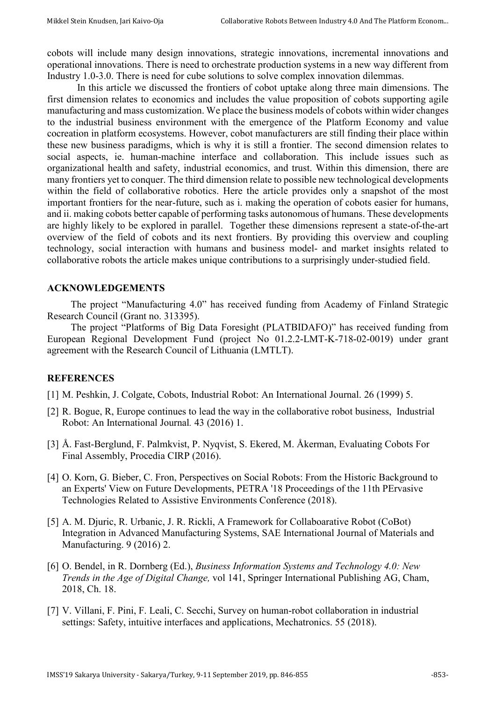cobots will include many design innovations, strategic innovations, incremental innovations and operational innovations. There is need to orchestrate production systems in a new way different from Industry 1.0-3.0. There is need for cube solutions to solve complex innovation dilemmas.

In this article we discussed the frontiers of cobot uptake along three main dimensions. The first dimension relates to economics and includes the value proposition of cobots supporting agile manufacturing and mass customization. We place the business models of cobots within wider changes to the industrial business environment with the emergence of the Platform Economy and value cocreation in platform ecosystems. However, cobot manufacturers are still finding their place within these new business paradigms, which is why it is still a frontier. The second dimension relates to social aspects, ie. human-machine interface and collaboration. This include issues such as organizational health and safety, industrial economics, and trust. Within this dimension, there are many frontiers yet to conquer. The third dimension relate to possible new technological developments within the field of collaborative robotics. Here the article provides only a snapshot of the most important frontiers for the near-future, such as i. making the operation of cobots easier for humans, and ii. making cobots better capable of performing tasks autonomous of humans. These developments are highly likely to be explored in parallel. Together these dimensions represent a state-of-the-art overview of the field of cobots and its next frontiers. By providing this overview and coupling technology, social interaction with humans and business model- and market insights related to collaborative robots the article makes unique contributions to a surprisingly under-studied field.

#### **ACKNOWLEDGEMENTS**

The project "Manufacturing 4.0" has received funding from Academy of Finland Strategic Research Council (Grant no. 313395).

The project "Platforms of Big Data Foresight (PLATBIDAFO)" has received funding from European Regional Development Fund (project No 01.2.2-LMT-K-718-02-0019) under grant agreement with the Research Council of Lithuania (LMTLT).

#### **REFERENCES**

- [1] M. Peshkin, J. Colgate, Cobots, Industrial Robot: An International Journal. 26 (1999) 5.
- [2] R. Bogue, R, Europe continues to lead the way in the collaborative robot business, Industrial Robot: An International Journal*.* 43 (2016) 1.
- [3] Å. Fast-Berglund, F. Palmkvist, P. Nyqvist, S. Ekered, M. Åkerman, Evaluating Cobots For Final Assembly, Procedia CIRP (2016).
- [4] O. Korn, G. Bieber, C. Fron, Perspectives on Social Robots: From the Historic Background to an Experts' View on Future Developments, PETRA '18 Proceedings of the 11th PErvasive Technologies Related to Assistive Environments Conference (2018).
- [5] A. M. Djuric, R. Urbanic, J. R. Rickli, A Framework for Collaboarative Robot (CoBot) Integration in Advanced Manufacturing Systems, SAE International Journal of Materials and Manufacturing. 9 (2016) 2.
- [6] O. Bendel, in R. Dornberg (Ed.), *Business Information Systems and Technology 4.0: New Trends in the Age of Digital Change,* vol 141, Springer International Publishing AG, Cham, 2018, Ch. 18.
- [7] V. Villani, F. Pini, F. Leali, C. Secchi, Survey on human-robot collaboration in industrial settings: Safety, intuitive interfaces and applications, Mechatronics. 55 (2018).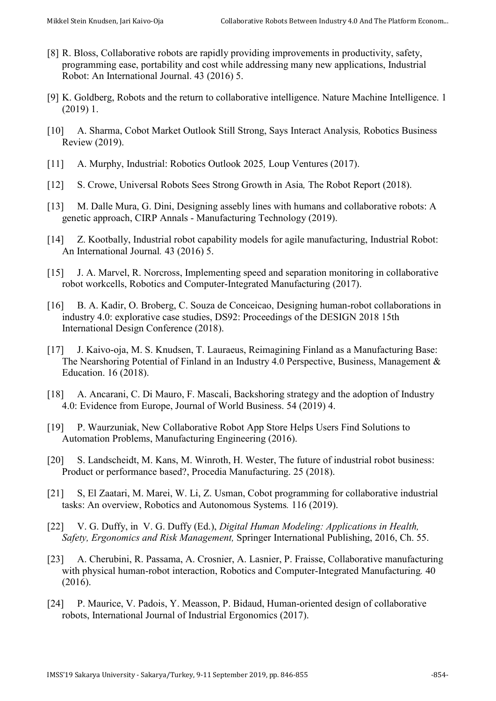- [8] R. Bloss, Collaborative robots are rapidly providing improvements in productivity, safety, programming ease, portability and cost while addressing many new applications, Industrial Robot: An International Journal. 43 (2016) 5.
- [9] K. Goldberg, Robots and the return to collaborative intelligence. Nature Machine Intelligence. 1 (2019) 1.
- [10] A. Sharma, Cobot Market Outlook Still Strong, Says Interact Analysis*,* Robotics Business Review (2019).
- [11] A. Murphy, Industrial: Robotics Outlook 2025*,* Loup Ventures (2017).
- [12] S. Crowe, Universal Robots Sees Strong Growth in Asia*,* The Robot Report (2018).
- [13] M. Dalle Mura, G. Dini, Designing assebly lines with humans and collaborative robots: A genetic approach, CIRP Annals - Manufacturing Technology (2019).
- [14] Z. Kootbally, Industrial robot capability models for agile manufacturing, Industrial Robot: An International Journal*.* 43 (2016) 5.
- [15] J. A. Marvel, R. Norcross, Implementing speed and separation monitoring in collaborative robot workcells, Robotics and Computer-Integrated Manufacturing (2017).
- [16] B. A. Kadir, O. Broberg, C. Souza de Conceicao, Designing human-robot collaborations in industry 4.0: explorative case studies, DS92: Proceedings of the DESIGN 2018 15th International Design Conference (2018).
- [17] J. Kaivo-oja, M. S. Knudsen, T. Lauraeus, Reimagining Finland as a Manufacturing Base: The Nearshoring Potential of Finland in an Industry 4.0 Perspective, Business, Management & Education. 16 (2018).
- [18] A. Ancarani, C. Di Mauro, F. Mascali, Backshoring strategy and the adoption of Industry 4.0: Evidence from Europe, Journal of World Business. 54 (2019) 4.
- [19] P. Waurzuniak, New Collaborative Robot App Store Helps Users Find Solutions to Automation Problems, Manufacturing Engineering (2016).
- [20] S. Landscheidt, M. Kans, M. Winroth, H. Wester, The future of industrial robot business: Product or performance based?, Procedia Manufacturing. 25 (2018).
- [21] S, El Zaatari, M. Marei, W. Li, Z. Usman, Cobot programming for collaborative industrial tasks: An overview, Robotics and Autonomous Systems*.* 116 (2019).
- [22] V. G. Duffy, in V. G. Duffy (Ed.), *Digital Human Modeling: Applications in Health, Safety, Ergonomics and Risk Management,* Springer International Publishing, 2016, Ch. 55.
- [23] A. Cherubini, R. Passama, A. Crosnier, A. Lasnier, P. Fraisse, Collaborative manufacturing with physical human-robot interaction, Robotics and Computer-Integrated Manufacturing*.* 40 (2016).
- [24] P. Maurice, V. Padois, Y. Measson, P. Bidaud, Human-oriented design of collaborative robots, International Journal of Industrial Ergonomics (2017).